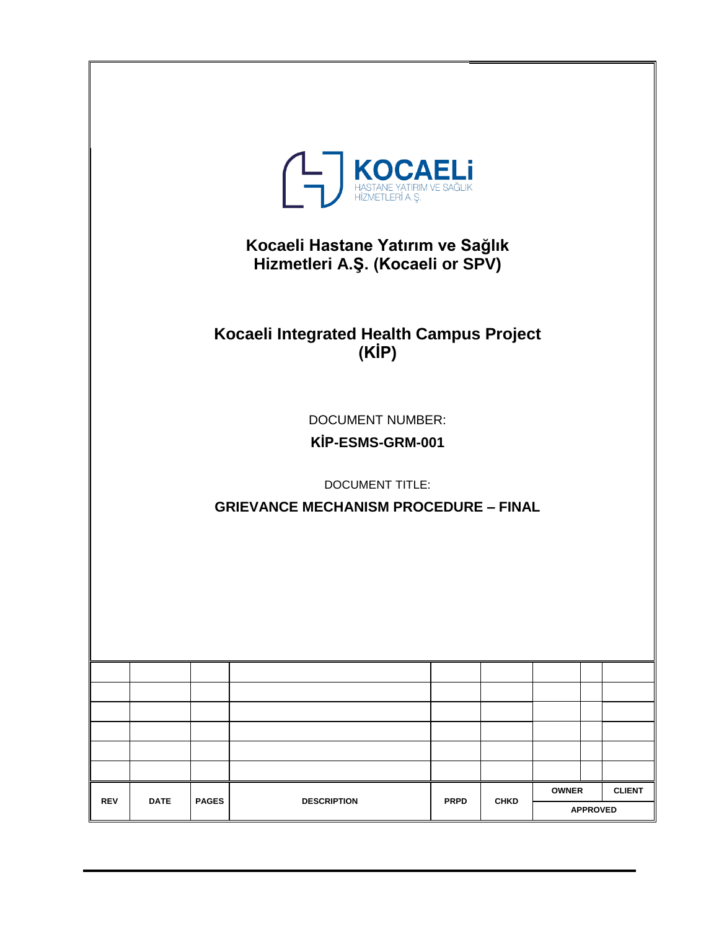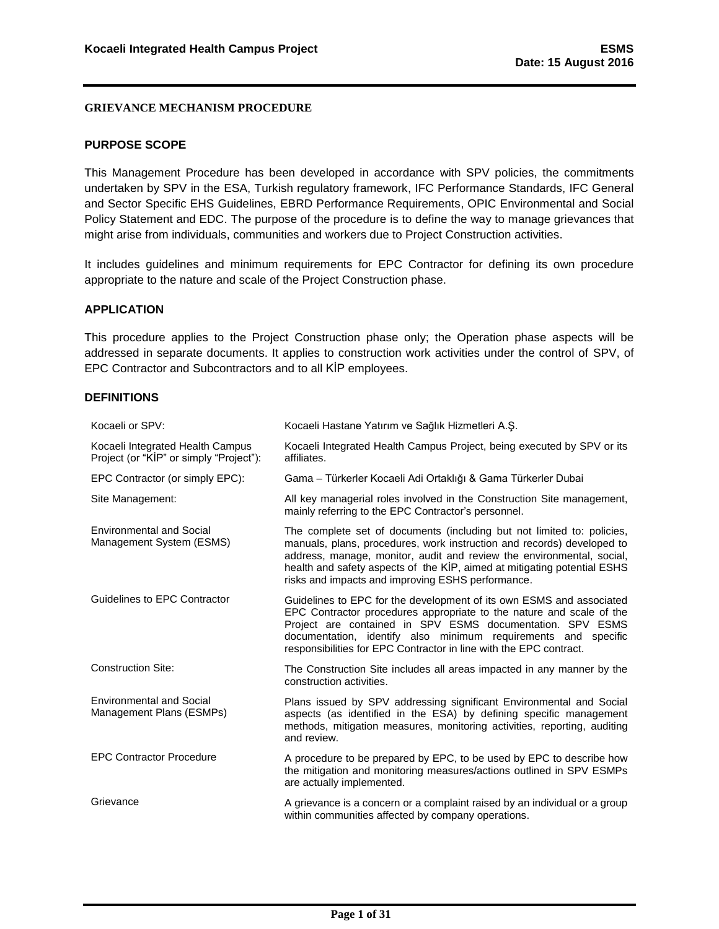### <span id="page-1-0"></span>**PURPOSE SCOPE**

This Management Procedure has been developed in accordance with SPV policies, the commitments undertaken by SPV in the ESA, Turkish regulatory framework, IFC Performance Standards, IFC General and Sector Specific EHS Guidelines, EBRD Performance Requirements, OPIC Environmental and Social Policy Statement and EDC. The purpose of the procedure is to define the way to manage grievances that might arise from individuals, communities and workers due to Project Construction activities.

It includes guidelines and minimum requirements for EPC Contractor for defining its own procedure appropriate to the nature and scale of the Project Construction phase.

## <span id="page-1-1"></span>**APPLICATION**

This procedure applies to the Project Construction phase only; the Operation phase aspects will be addressed in separate documents. It applies to construction work activities under the control of SPV, of EPC Contractor and Subcontractors and to all KİP employees.

#### <span id="page-1-2"></span>**DEFINITIONS**

| Kocaeli or SPV:                                                             | Kocaeli Hastane Yatırım ve Sağlık Hizmetleri A.S.                                                                                                                                                                                                                                                                                                          |
|-----------------------------------------------------------------------------|------------------------------------------------------------------------------------------------------------------------------------------------------------------------------------------------------------------------------------------------------------------------------------------------------------------------------------------------------------|
| Kocaeli Integrated Health Campus<br>Project (or "KIP" or simply "Project"): | Kocaeli Integrated Health Campus Project, being executed by SPV or its<br>affiliates.                                                                                                                                                                                                                                                                      |
| EPC Contractor (or simply EPC):                                             | Gama - Türkerler Kocaeli Adi Ortaklığı & Gama Türkerler Dubai                                                                                                                                                                                                                                                                                              |
| Site Management:                                                            | All key managerial roles involved in the Construction Site management,<br>mainly referring to the EPC Contractor's personnel.                                                                                                                                                                                                                              |
| <b>Environmental and Social</b><br>Management System (ESMS)                 | The complete set of documents (including but not limited to: policies,<br>manuals, plans, procedures, work instruction and records) developed to<br>address, manage, monitor, audit and review the environmental, social,<br>health and safety aspects of the KİP, aimed at mitigating potential ESHS<br>risks and impacts and improving ESHS performance. |
| Guidelines to EPC Contractor                                                | Guidelines to EPC for the development of its own ESMS and associated<br>EPC Contractor procedures appropriate to the nature and scale of the<br>Project are contained in SPV ESMS documentation. SPV ESMS<br>documentation, identify also minimum requirements and specific<br>responsibilities for EPC Contractor in line with the EPC contract.          |
| <b>Construction Site:</b>                                                   | The Construction Site includes all areas impacted in any manner by the<br>construction activities.                                                                                                                                                                                                                                                         |
| <b>Environmental and Social</b><br>Management Plans (ESMPs)                 | Plans issued by SPV addressing significant Environmental and Social<br>aspects (as identified in the ESA) by defining specific management<br>methods, mitigation measures, monitoring activities, reporting, auditing<br>and review.                                                                                                                       |
| <b>EPC Contractor Procedure</b>                                             | A procedure to be prepared by EPC, to be used by EPC to describe how<br>the mitigation and monitoring measures/actions outlined in SPV ESMPs<br>are actually implemented.                                                                                                                                                                                  |
| Grievance                                                                   | A grievance is a concern or a complaint raised by an individual or a group<br>within communities affected by company operations.                                                                                                                                                                                                                           |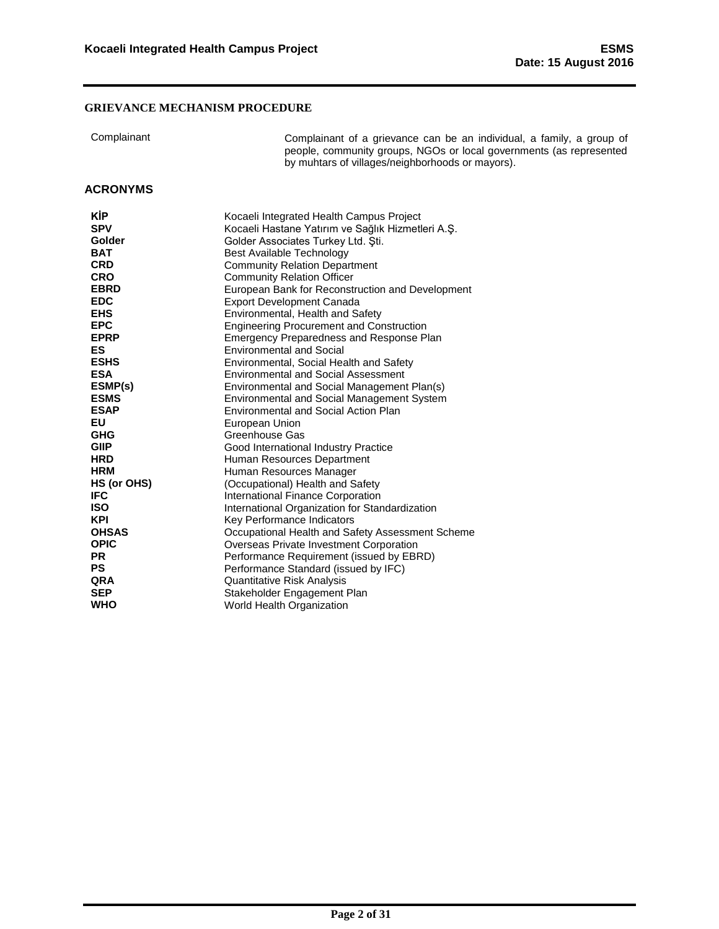| Complainant |  |  |
|-------------|--|--|

Complainant Complainant of a grievance can be an individual, a family, a group of people, community groups, NGOs or local governments (as represented by muhtars of villages/neighborhoods or mayors).

## <span id="page-2-0"></span>**ACRONYMS**

| KİP          | Kocaeli Integrated Health Campus Project          |
|--------------|---------------------------------------------------|
| <b>SPV</b>   | Kocaeli Hastane Yatırım ve Sağlık Hizmetleri A.Ş. |
| Golder       | Golder Associates Turkey Ltd. Sti.                |
| <b>BAT</b>   | Best Available Technology                         |
| <b>CRD</b>   | <b>Community Relation Department</b>              |
| <b>CRO</b>   | <b>Community Relation Officer</b>                 |
| <b>EBRD</b>  | European Bank for Reconstruction and Development  |
| <b>EDC</b>   | <b>Export Development Canada</b>                  |
| <b>EHS</b>   | Environmental, Health and Safety                  |
| <b>EPC</b>   | <b>Engineering Procurement and Construction</b>   |
| <b>EPRP</b>  | <b>Emergency Preparedness and Response Plan</b>   |
| ES           | <b>Environmental and Social</b>                   |
| <b>ESHS</b>  | Environmental, Social Health and Safety           |
| <b>ESA</b>   | <b>Environmental and Social Assessment</b>        |
| ESMP(s)      | Environmental and Social Management Plan(s)       |
| <b>ESMS</b>  | <b>Environmental and Social Management System</b> |
| <b>ESAP</b>  | <b>Environmental and Social Action Plan</b>       |
| <b>EU</b>    | European Union                                    |
| <b>GHG</b>   | Greenhouse Gas                                    |
| <b>GIIP</b>  | Good International Industry Practice              |
| <b>HRD</b>   | Human Resources Department                        |
| <b>HRM</b>   | Human Resources Manager                           |
| HS (or OHS)  | (Occupational) Health and Safety                  |
| <b>IFC</b>   | International Finance Corporation                 |
| <b>ISO</b>   | International Organization for Standardization    |
| <b>KPI</b>   | Key Performance Indicators                        |
| <b>OHSAS</b> | Occupational Health and Safety Assessment Scheme  |
| <b>OPIC</b>  | Overseas Private Investment Corporation           |
| <b>PR</b>    | Performance Requirement (issued by EBRD)          |
| <b>PS</b>    | Performance Standard (issued by IFC)              |
| QRA          | Quantitative Risk Analysis                        |
| <b>SEP</b>   | Stakeholder Engagement Plan                       |
| <b>WHO</b>   | World Health Organization                         |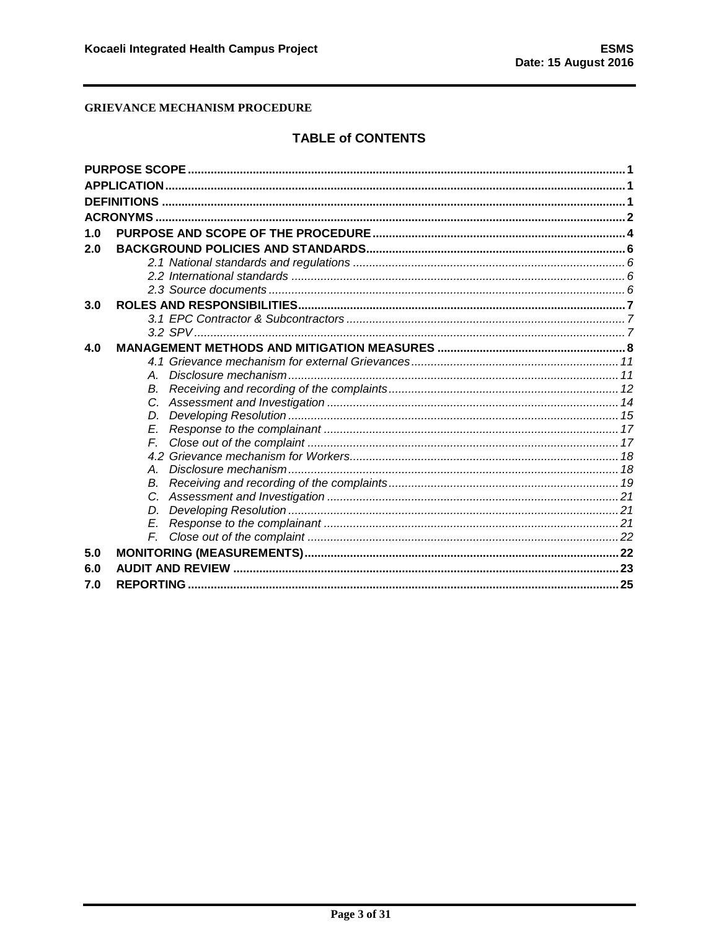# **TABLE of CONTENTS**

| 1.0 |    |  |
|-----|----|--|
| 2.0 |    |  |
|     |    |  |
|     |    |  |
|     |    |  |
| 3.0 |    |  |
|     |    |  |
|     |    |  |
| 4.0 |    |  |
|     |    |  |
|     | A  |  |
|     | В. |  |
|     | C. |  |
|     | D. |  |
|     | F  |  |
|     | F  |  |
|     |    |  |
|     | А  |  |
|     | В. |  |
|     |    |  |
|     | D. |  |
|     | E. |  |
|     | F. |  |
| 5.0 |    |  |
| 6.0 |    |  |
| 7.0 |    |  |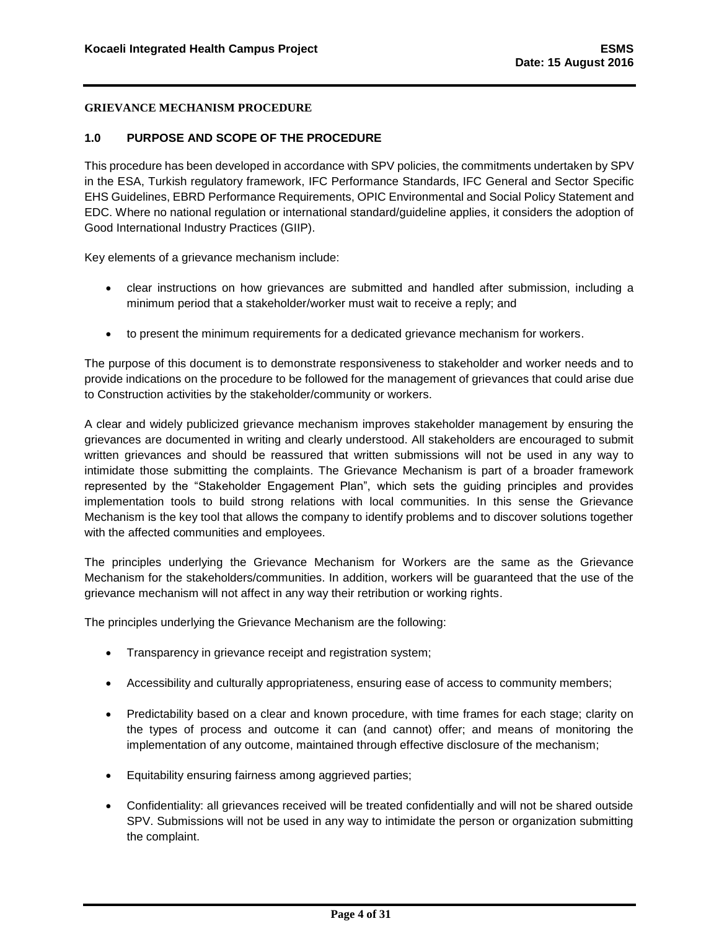### <span id="page-4-0"></span>**1.0 PURPOSE AND SCOPE OF THE PROCEDURE**

This procedure has been developed in accordance with SPV policies, the commitments undertaken by SPV in the ESA, Turkish regulatory framework, IFC Performance Standards, IFC General and Sector Specific EHS Guidelines, EBRD Performance Requirements, OPIC Environmental and Social Policy Statement and EDC. Where no national regulation or international standard/guideline applies, it considers the adoption of Good International Industry Practices (GIIP).

Key elements of a grievance mechanism include:

- clear instructions on how grievances are submitted and handled after submission, including a minimum period that a stakeholder/worker must wait to receive a reply; and
- to present the minimum requirements for a dedicated grievance mechanism for workers.

The purpose of this document is to demonstrate responsiveness to stakeholder and worker needs and to provide indications on the procedure to be followed for the management of grievances that could arise due to Construction activities by the stakeholder/community or workers.

A clear and widely publicized grievance mechanism improves stakeholder management by ensuring the grievances are documented in writing and clearly understood. All stakeholders are encouraged to submit written grievances and should be reassured that written submissions will not be used in any way to intimidate those submitting the complaints. The Grievance Mechanism is part of a broader framework represented by the "Stakeholder Engagement Plan", which sets the guiding principles and provides implementation tools to build strong relations with local communities. In this sense the Grievance Mechanism is the key tool that allows the company to identify problems and to discover solutions together with the affected communities and employees.

The principles underlying the Grievance Mechanism for Workers are the same as the Grievance Mechanism for the stakeholders/communities. In addition, workers will be guaranteed that the use of the grievance mechanism will not affect in any way their retribution or working rights.

The principles underlying the Grievance Mechanism are the following:

- Transparency in grievance receipt and registration system;
- Accessibility and culturally appropriateness, ensuring ease of access to community members;
- Predictability based on a clear and known procedure, with time frames for each stage; clarity on the types of process and outcome it can (and cannot) offer; and means of monitoring the implementation of any outcome, maintained through effective disclosure of the mechanism;
- Equitability ensuring fairness among aggrieved parties;
- Confidentiality: all grievances received will be treated confidentially and will not be shared outside SPV. Submissions will not be used in any way to intimidate the person or organization submitting the complaint.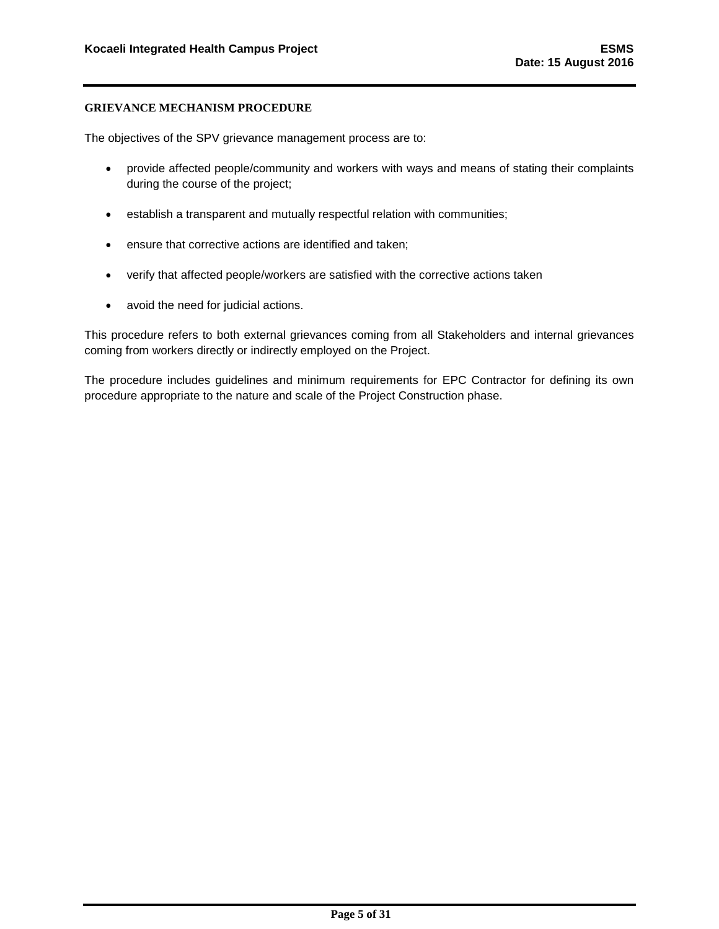The objectives of the SPV grievance management process are to:

- provide affected people/community and workers with ways and means of stating their complaints during the course of the project;
- establish a transparent and mutually respectful relation with communities;
- ensure that corrective actions are identified and taken;
- verify that affected people/workers are satisfied with the corrective actions taken
- avoid the need for judicial actions.

This procedure refers to both external grievances coming from all Stakeholders and internal grievances coming from workers directly or indirectly employed on the Project.

The procedure includes guidelines and minimum requirements for EPC Contractor for defining its own procedure appropriate to the nature and scale of the Project Construction phase.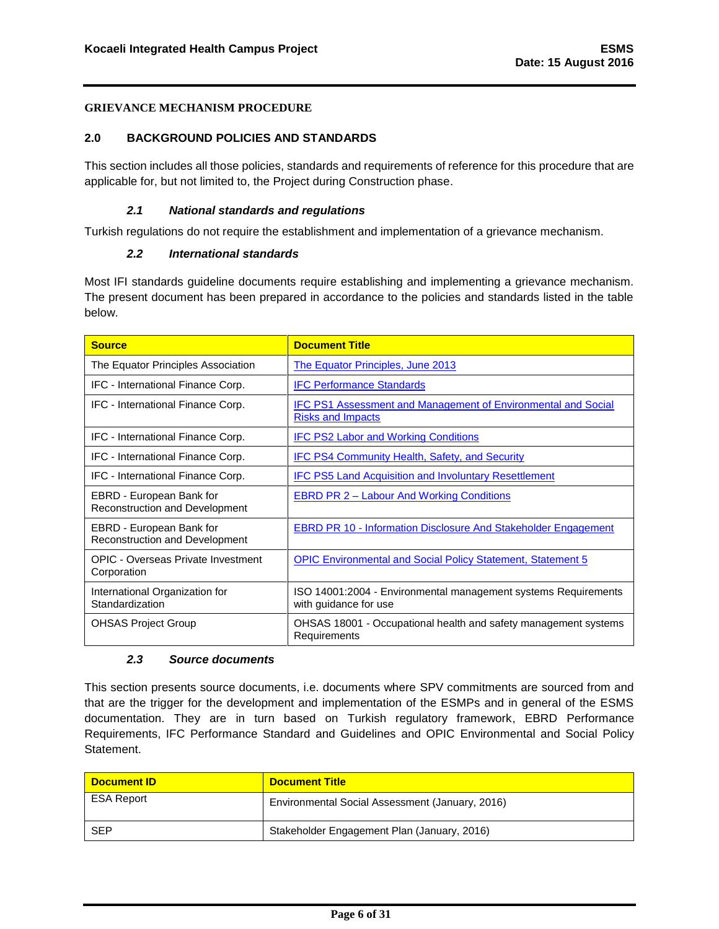### <span id="page-6-0"></span>**2.0 BACKGROUND POLICIES AND STANDARDS**

This section includes all those policies, standards and requirements of reference for this procedure that are applicable for, but not limited to, the Project during Construction phase.

## *2.1 National standards and regulations*

<span id="page-6-2"></span><span id="page-6-1"></span>Turkish regulations do not require the establishment and implementation of a grievance mechanism.

## *2.2 International standards*

Most IFI standards guideline documents require establishing and implementing a grievance mechanism. The present document has been prepared in accordance to the policies and standards listed in the table below.

| <b>Source</b>                                                     | <b>Document Title</b>                                                                            |
|-------------------------------------------------------------------|--------------------------------------------------------------------------------------------------|
| The Equator Principles Association                                | The Equator Principles, June 2013                                                                |
| IFC - International Finance Corp.                                 | <b>IFC Performance Standards</b>                                                                 |
| IFC - International Finance Corp.                                 | <b>IFC PS1 Assessment and Management of Environmental and Social</b><br><b>Risks and Impacts</b> |
| IFC - International Finance Corp.                                 | <b>IFC PS2 Labor and Working Conditions</b>                                                      |
| IFC - International Finance Corp.                                 | <b>IFC PS4 Community Health, Safety, and Security</b>                                            |
| IFC - International Finance Corp.                                 | <b>IFC PS5 Land Acquisition and Involuntary Resettlement</b>                                     |
| EBRD - European Bank for<br><b>Reconstruction and Development</b> | <b>EBRD PR 2 – Labour And Working Conditions</b>                                                 |
| EBRD - European Bank for<br><b>Reconstruction and Development</b> | <b>EBRD PR 10 - Information Disclosure And Stakeholder Engagement</b>                            |
| <b>OPIC - Overseas Private Investment</b><br>Corporation          | <b>OPIC Environmental and Social Policy Statement, Statement 5</b>                               |
| International Organization for<br>Standardization                 | ISO 14001:2004 - Environmental management systems Requirements<br>with guidance for use          |
| <b>OHSAS Project Group</b>                                        | OHSAS 18001 - Occupational health and safety management systems<br>Requirements                  |

#### *2.3 Source documents*

<span id="page-6-3"></span>This section presents source documents, i.e. documents where SPV commitments are sourced from and that are the trigger for the development and implementation of the ESMPs and in general of the ESMS documentation. They are in turn based on Turkish regulatory framework, EBRD Performance Requirements, IFC Performance Standard and Guidelines and OPIC Environmental and Social Policy Statement.

| <b>Document ID</b> | <b>Document Title</b>                           |
|--------------------|-------------------------------------------------|
| <b>ESA Report</b>  | Environmental Social Assessment (January, 2016) |
| <b>SEP</b>         | Stakeholder Engagement Plan (January, 2016)     |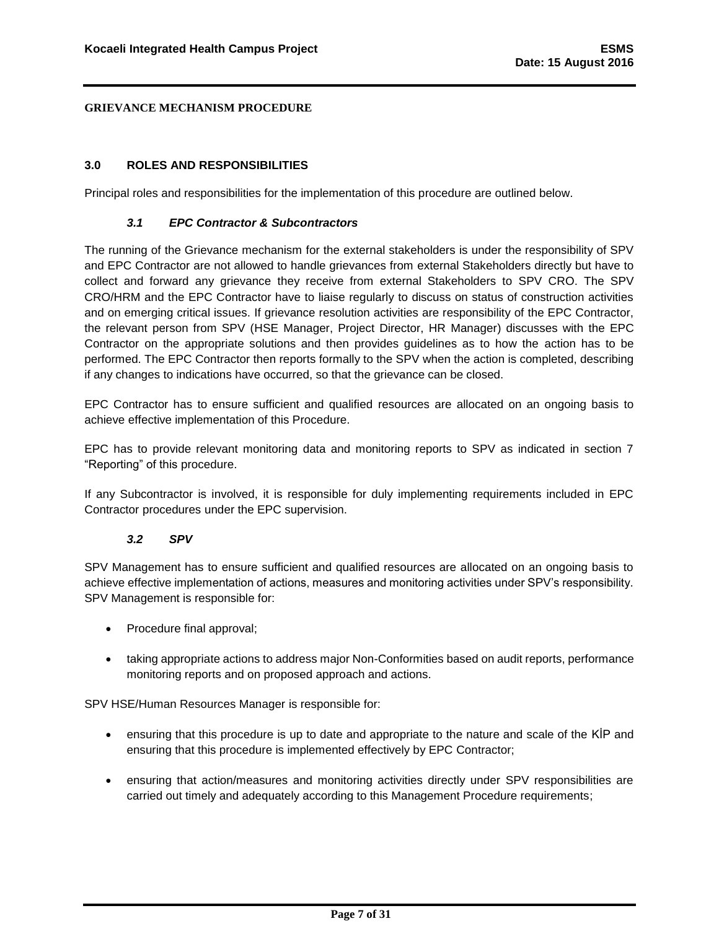### <span id="page-7-0"></span>**3.0 ROLES AND RESPONSIBILITIES**

Principal roles and responsibilities for the implementation of this procedure are outlined below.

### *3.1 EPC Contractor & Subcontractors*

<span id="page-7-1"></span>The running of the Grievance mechanism for the external stakeholders is under the responsibility of SPV and EPC Contractor are not allowed to handle grievances from external Stakeholders directly but have to collect and forward any grievance they receive from external Stakeholders to SPV CRO. The SPV CRO/HRM and the EPC Contractor have to liaise regularly to discuss on status of construction activities and on emerging critical issues. If grievance resolution activities are responsibility of the EPC Contractor, the relevant person from SPV (HSE Manager, Project Director, HR Manager) discusses with the EPC Contractor on the appropriate solutions and then provides guidelines as to how the action has to be performed. The EPC Contractor then reports formally to the SPV when the action is completed, describing if any changes to indications have occurred, so that the grievance can be closed.

EPC Contractor has to ensure sufficient and qualified resources are allocated on an ongoing basis to achieve effective implementation of this Procedure.

EPC has to provide relevant monitoring data and monitoring reports to SPV as indicated in section 7 "Reporting" of this procedure.

If any Subcontractor is involved, it is responsible for duly implementing requirements included in EPC Contractor procedures under the EPC supervision.

#### *3.2 SPV*

<span id="page-7-2"></span>SPV Management has to ensure sufficient and qualified resources are allocated on an ongoing basis to achieve effective implementation of actions, measures and monitoring activities under SPV's responsibility. SPV Management is responsible for:

- Procedure final approval;
- taking appropriate actions to address major Non-Conformities based on audit reports, performance monitoring reports and on proposed approach and actions.

SPV HSE/Human Resources Manager is responsible for:

- ensuring that this procedure is up to date and appropriate to the nature and scale of the KİP and ensuring that this procedure is implemented effectively by EPC Contractor;
- ensuring that action/measures and monitoring activities directly under SPV responsibilities are carried out timely and adequately according to this Management Procedure requirements;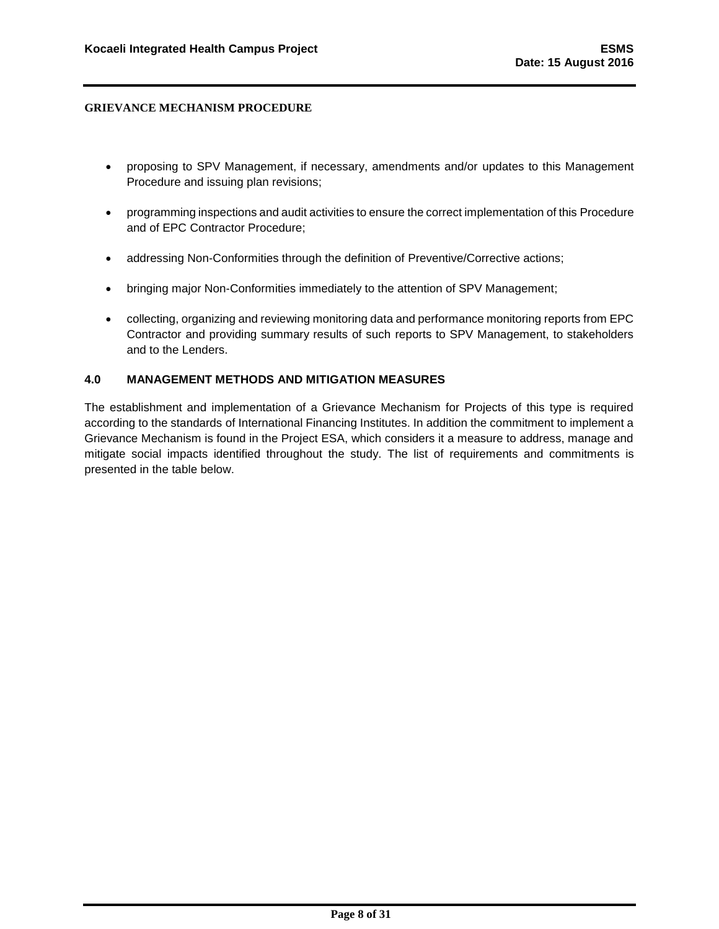- proposing to SPV Management, if necessary, amendments and/or updates to this Management Procedure and issuing plan revisions;
- programming inspections and audit activities to ensure the correct implementation of this Procedure and of EPC Contractor Procedure;
- addressing Non-Conformities through the definition of Preventive/Corrective actions;
- bringing major Non-Conformities immediately to the attention of SPV Management;
- collecting, organizing and reviewing monitoring data and performance monitoring reports from EPC Contractor and providing summary results of such reports to SPV Management, to stakeholders and to the Lenders.

#### <span id="page-8-0"></span>**4.0 MANAGEMENT METHODS AND MITIGATION MEASURES**

The establishment and implementation of a Grievance Mechanism for Projects of this type is required according to the standards of International Financing Institutes. In addition the commitment to implement a Grievance Mechanism is found in the Project ESA, which considers it a measure to address, manage and mitigate social impacts identified throughout the study. The list of requirements and commitments is presented in the table below.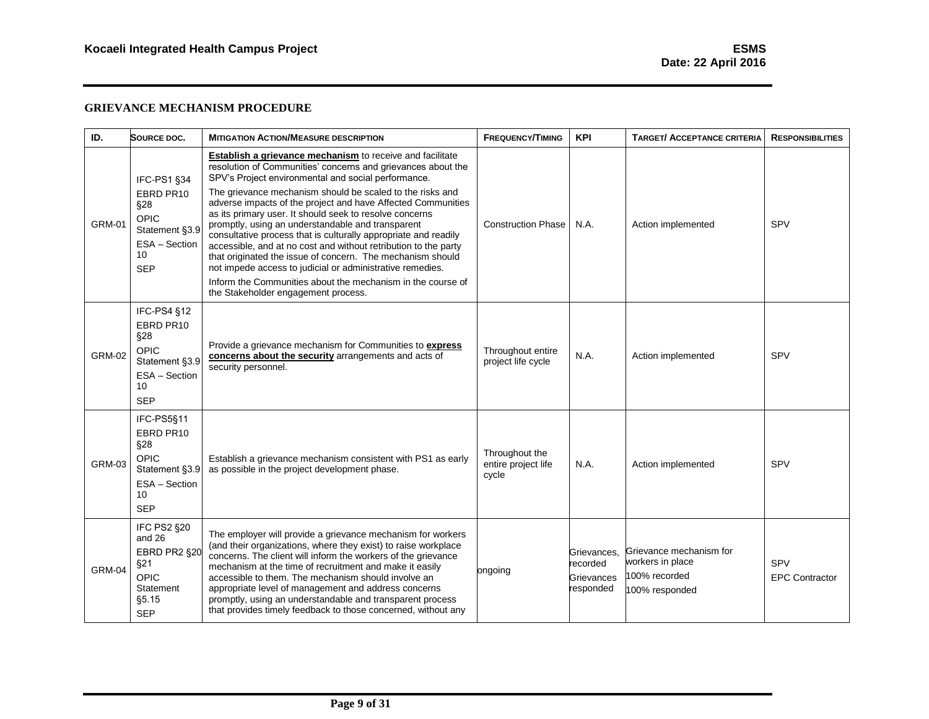| ID.           | SOURCE DOC.                                                                                           | <b>MITIGATION ACTION/MEASURE DESCRIPTION</b>                                                                                                                                                                                                                                                                                                                                                                                                                                                                                                                                                                                                                                                                                                                                                                | <b>FREQUENCY/TIMING</b>                        | <b>KPI</b>                                         | <b>TARGET/ ACCEPTANCE CRITERIA</b>                                             | <b>RESPONSIBILITIES</b>             |
|---------------|-------------------------------------------------------------------------------------------------------|-------------------------------------------------------------------------------------------------------------------------------------------------------------------------------------------------------------------------------------------------------------------------------------------------------------------------------------------------------------------------------------------------------------------------------------------------------------------------------------------------------------------------------------------------------------------------------------------------------------------------------------------------------------------------------------------------------------------------------------------------------------------------------------------------------------|------------------------------------------------|----------------------------------------------------|--------------------------------------------------------------------------------|-------------------------------------|
| <b>GRM-01</b> | IFC-PS1 §34<br>EBRD PR10<br>§28<br><b>OPIC</b><br>Statement §3.9<br>ESA - Section<br>10<br><b>SEP</b> | <b>Establish a grievance mechanism</b> to receive and facilitate<br>resolution of Communities' concerns and grievances about the<br>SPV's Project environmental and social performance.<br>The grievance mechanism should be scaled to the risks and<br>adverse impacts of the project and have Affected Communities<br>as its primary user. It should seek to resolve concerns<br>promptly, using an understandable and transparent<br>consultative process that is culturally appropriate and readily<br>accessible, and at no cost and without retribution to the party<br>that originated the issue of concern. The mechanism should<br>not impede access to judicial or administrative remedies.<br>Inform the Communities about the mechanism in the course of<br>the Stakeholder engagement process. | <b>Construction Phase</b>                      | N.A.                                               | Action implemented                                                             | SPV                                 |
| <b>GRM-02</b> | IFC-PS4 §12<br>EBRD PR10<br>§28<br><b>OPIC</b><br>Statement §3.9<br>ESA - Section<br>10<br><b>SEP</b> | Provide a grievance mechanism for Communities to express<br>concerns about the security arrangements and acts of<br>security personnel.                                                                                                                                                                                                                                                                                                                                                                                                                                                                                                                                                                                                                                                                     | Throughout entire<br>project life cycle        | N.A.                                               | Action implemented                                                             | SPV                                 |
| <b>GRM-03</b> | IFC-PS5§11<br>EBRD PR10<br>§28<br>OPIC.<br>Statement §3.9<br>ESA - Section<br>10<br><b>SEP</b>        | Establish a grievance mechanism consistent with PS1 as early<br>as possible in the project development phase.                                                                                                                                                                                                                                                                                                                                                                                                                                                                                                                                                                                                                                                                                               | Throughout the<br>entire project life<br>cycle | N.A.                                               | Action implemented                                                             | SPV                                 |
| <b>GRM-04</b> | IFC PS2 §20<br>and 26<br>EBRD PR2 §20<br>§21<br>OPIC<br>Statement<br>§5.15<br><b>SEP</b>              | The employer will provide a grievance mechanism for workers<br>(and their organizations, where they exist) to raise workplace<br>concerns. The client will inform the workers of the grievance<br>mechanism at the time of recruitment and make it easily<br>accessible to them. The mechanism should involve an<br>appropriate level of management and address concerns<br>promptly, using an understandable and transparent process<br>that provides timely feedback to those concerned, without any                                                                                                                                                                                                                                                                                                      | ongoing                                        | Grievances.<br>recorded<br>Grievances<br>responded | Grievance mechanism for<br>workers in place<br>100% recorded<br>100% responded | <b>SPV</b><br><b>EPC Contractor</b> |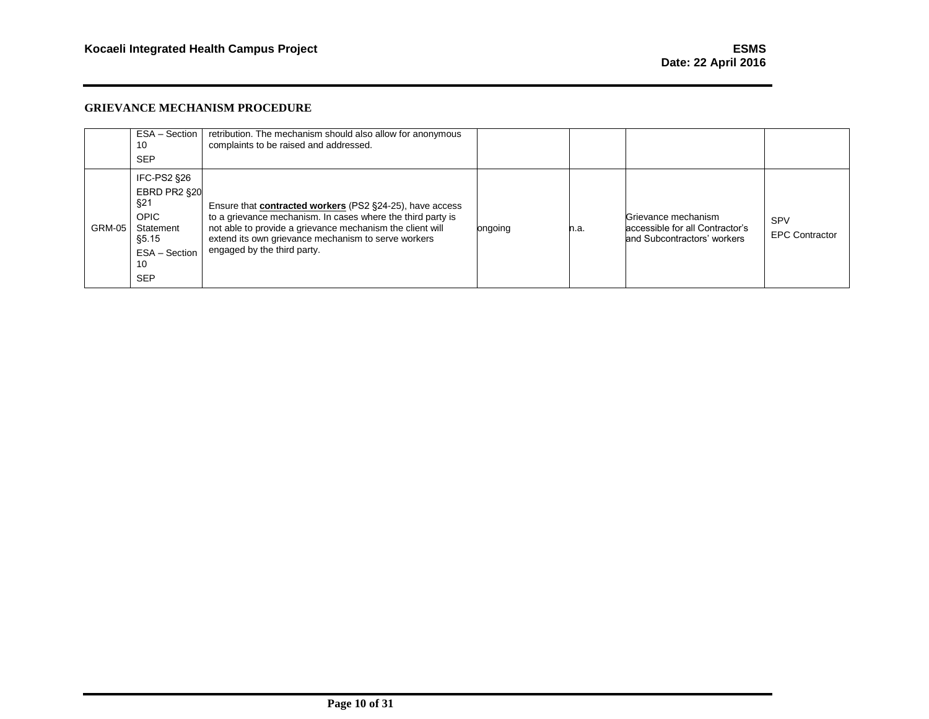|               | ESA - Section  <br>10<br><b>SEP</b>                                                                                  | retribution. The mechanism should also allow for anonymous<br>complaints to be raised and addressed.                                                                                                                                                                              |         |      |                                                                                       |                                     |
|---------------|----------------------------------------------------------------------------------------------------------------------|-----------------------------------------------------------------------------------------------------------------------------------------------------------------------------------------------------------------------------------------------------------------------------------|---------|------|---------------------------------------------------------------------------------------|-------------------------------------|
| <b>GRM-05</b> | <b>IFC-PS2 §26</b><br>EBRD PR2 §20<br>§21<br><b>OPIC</b><br>Statement<br>\$5.15<br>ESA - Section<br>10<br><b>SEP</b> | Ensure that <b>contracted workers</b> (PS2 §24-25), have access<br>to a grievance mechanism. In cases where the third party is<br>not able to provide a grievance mechanism the client will<br>extend its own grievance mechanism to serve workers<br>engaged by the third party. | ongoing | n.a. | Grievance mechanism<br>accessible for all Contractor's<br>and Subcontractors' workers | <b>SPV</b><br><b>EPC Contractor</b> |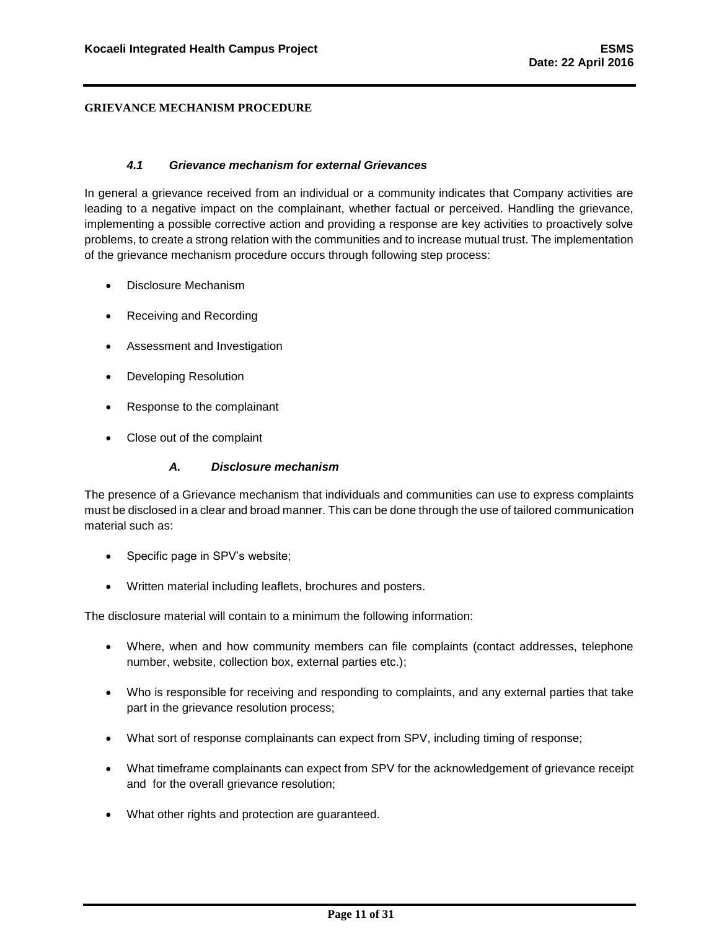### *4.1 Grievance mechanism for external Grievances*

<span id="page-11-0"></span>In general a grievance received from an individual or a community indicates that Company activities are leading to a negative impact on the complainant, whether factual or perceived. Handling the grievance, implementing a possible corrective action and providing a response are key activities to proactively solve problems, to create a strong relation with the communities and to increase mutual trust. The implementation of the grievance mechanism procedure occurs through following step process:

- Disclosure Mechanism
- Receiving and Recording
- Assessment and Investigation
- Developing Resolution
- Response to the complainant
- Close out of the complaint

## *A. Disclosure mechanism*

<span id="page-11-1"></span>The presence of a Grievance mechanism that individuals and communities can use to express complaints must be disclosed in a clear and broad manner. This can be done through the use of tailored communication material such as:

- Specific page in SPV's website;
- Written material including leaflets, brochures and posters.

The disclosure material will contain to a minimum the following information:

- Where, when and how community members can file complaints (contact addresses, telephone number, website, collection box, external parties etc.);
- Who is responsible for receiving and responding to complaints, and any external parties that take part in the grievance resolution process;
- What sort of response complainants can expect from SPV, including timing of response;
- What timeframe complainants can expect from SPV for the acknowledgement of grievance receipt and for the overall grievance resolution;
- What other rights and protection are guaranteed.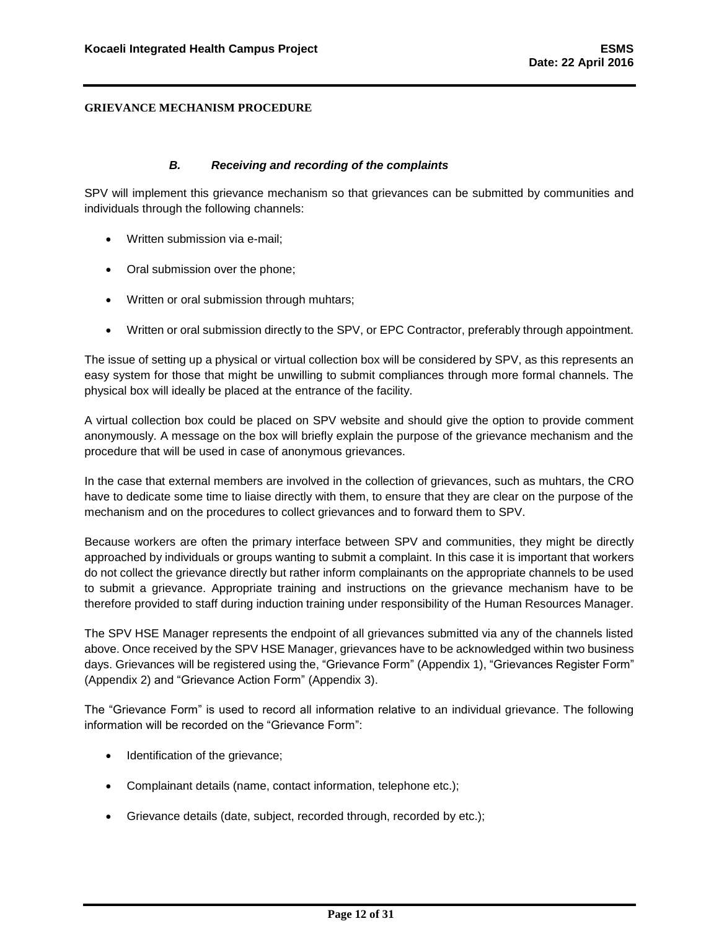### *B. Receiving and recording of the complaints*

<span id="page-12-0"></span>SPV will implement this grievance mechanism so that grievances can be submitted by communities and individuals through the following channels:

- Written submission via e-mail;
- Oral submission over the phone;
- Written or oral submission through muhtars;
- Written or oral submission directly to the SPV, or EPC Contractor, preferably through appointment.

The issue of setting up a physical or virtual collection box will be considered by SPV, as this represents an easy system for those that might be unwilling to submit compliances through more formal channels. The physical box will ideally be placed at the entrance of the facility.

A virtual collection box could be placed on SPV website and should give the option to provide comment anonymously. A message on the box will briefly explain the purpose of the grievance mechanism and the procedure that will be used in case of anonymous grievances.

In the case that external members are involved in the collection of grievances, such as muhtars, the CRO have to dedicate some time to liaise directly with them, to ensure that they are clear on the purpose of the mechanism and on the procedures to collect grievances and to forward them to SPV.

Because workers are often the primary interface between SPV and communities, they might be directly approached by individuals or groups wanting to submit a complaint. In this case it is important that workers do not collect the grievance directly but rather inform complainants on the appropriate channels to be used to submit a grievance. Appropriate training and instructions on the grievance mechanism have to be therefore provided to staff during induction training under responsibility of the Human Resources Manager.

The SPV HSE Manager represents the endpoint of all grievances submitted via any of the channels listed above. Once received by the SPV HSE Manager, grievances have to be acknowledged within two business days. Grievances will be registered using the, "Grievance Form" (Appendix 1), "Grievances Register Form" (Appendix 2) and "Grievance Action Form" (Appendix 3).

The "Grievance Form" is used to record all information relative to an individual grievance. The following information will be recorded on the "Grievance Form":

- Identification of the grievance;
- Complainant details (name, contact information, telephone etc.);
- Grievance details (date, subject, recorded through, recorded by etc.);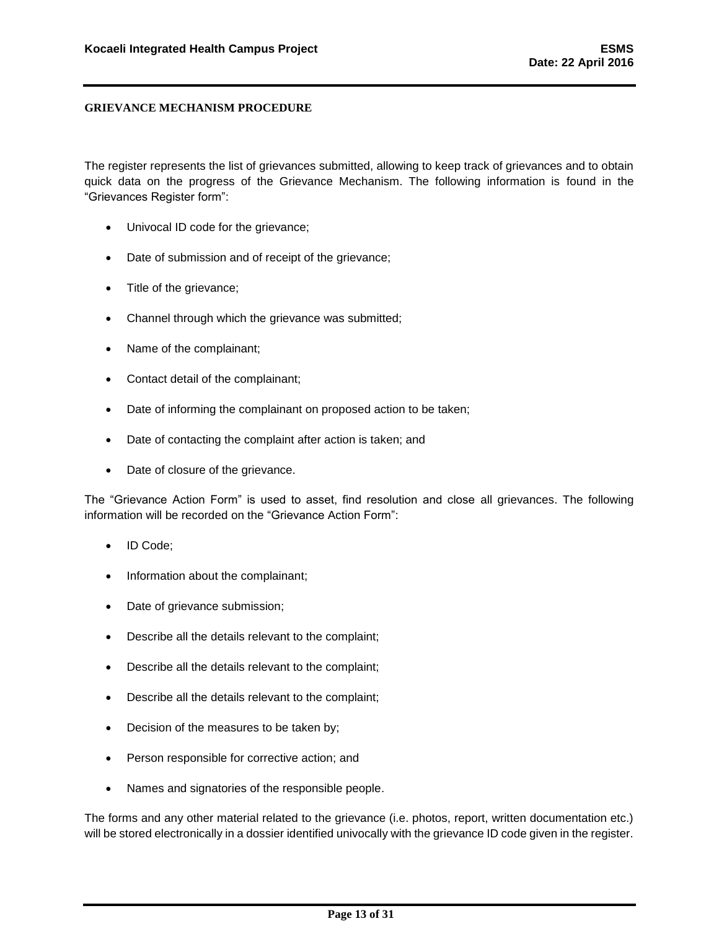The register represents the list of grievances submitted, allowing to keep track of grievances and to obtain quick data on the progress of the Grievance Mechanism. The following information is found in the "Grievances Register form":

- Univocal ID code for the grievance;
- Date of submission and of receipt of the grievance;
- Title of the grievance;
- Channel through which the grievance was submitted;
- Name of the complainant;
- Contact detail of the complainant;
- Date of informing the complainant on proposed action to be taken;
- Date of contacting the complaint after action is taken; and
- Date of closure of the grievance.

The "Grievance Action Form" is used to asset, find resolution and close all grievances. The following information will be recorded on the "Grievance Action Form":

- ID Code;
- Information about the complainant;
- Date of grievance submission;
- Describe all the details relevant to the complaint;
- Describe all the details relevant to the complaint;
- Describe all the details relevant to the complaint;
- Decision of the measures to be taken by;
- Person responsible for corrective action; and
- Names and signatories of the responsible people.

The forms and any other material related to the grievance (i.e. photos, report, written documentation etc.) will be stored electronically in a dossier identified univocally with the grievance ID code given in the register.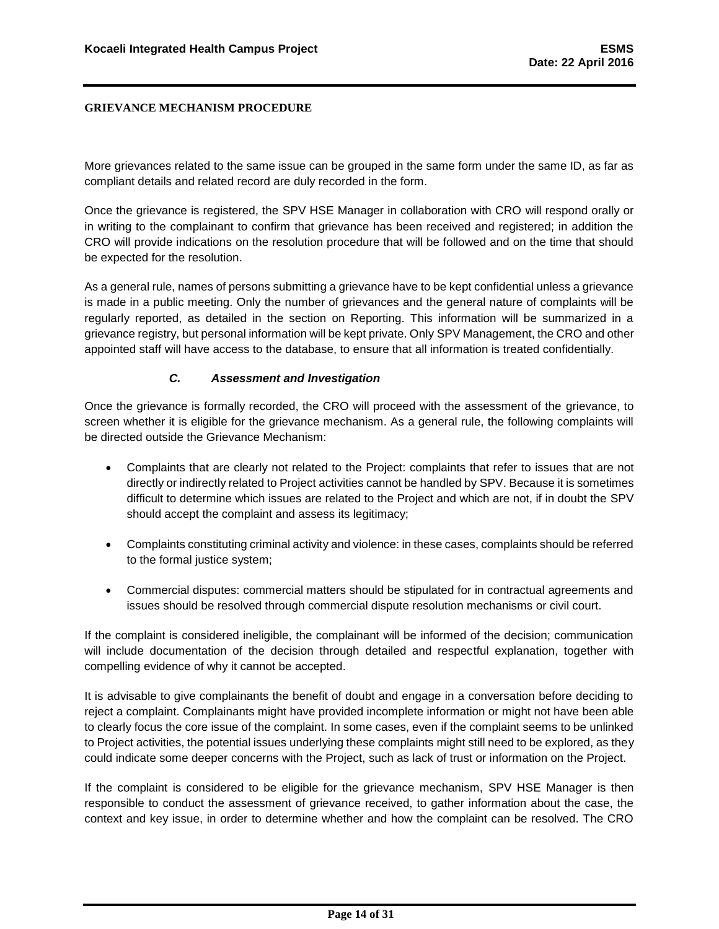More grievances related to the same issue can be grouped in the same form under the same ID, as far as compliant details and related record are duly recorded in the form.

Once the grievance is registered, the SPV HSE Manager in collaboration with CRO will respond orally or in writing to the complainant to confirm that grievance has been received and registered; in addition the CRO will provide indications on the resolution procedure that will be followed and on the time that should be expected for the resolution.

As a general rule, names of persons submitting a grievance have to be kept confidential unless a grievance is made in a public meeting. Only the number of grievances and the general nature of complaints will be regularly reported, as detailed in the section on Reporting. This information will be summarized in a grievance registry, but personal information will be kept private. Only SPV Management, the CRO and other appointed staff will have access to the database, to ensure that all information is treated confidentially.

## *C. Assessment and Investigation*

<span id="page-14-0"></span>Once the grievance is formally recorded, the CRO will proceed with the assessment of the grievance, to screen whether it is eligible for the grievance mechanism. As a general rule, the following complaints will be directed outside the Grievance Mechanism:

- Complaints that are clearly not related to the Project: complaints that refer to issues that are not directly or indirectly related to Project activities cannot be handled by SPV. Because it is sometimes difficult to determine which issues are related to the Project and which are not, if in doubt the SPV should accept the complaint and assess its legitimacy;
- Complaints constituting criminal activity and violence: in these cases, complaints should be referred to the formal justice system;
- Commercial disputes: commercial matters should be stipulated for in contractual agreements and issues should be resolved through commercial dispute resolution mechanisms or civil court.

If the complaint is considered ineligible, the complainant will be informed of the decision; communication will include documentation of the decision through detailed and respectful explanation, together with compelling evidence of why it cannot be accepted.

It is advisable to give complainants the benefit of doubt and engage in a conversation before deciding to reject a complaint. Complainants might have provided incomplete information or might not have been able to clearly focus the core issue of the complaint. In some cases, even if the complaint seems to be unlinked to Project activities, the potential issues underlying these complaints might still need to be explored, as they could indicate some deeper concerns with the Project, such as lack of trust or information on the Project.

If the complaint is considered to be eligible for the grievance mechanism, SPV HSE Manager is then responsible to conduct the assessment of grievance received, to gather information about the case, the context and key issue, in order to determine whether and how the complaint can be resolved. The CRO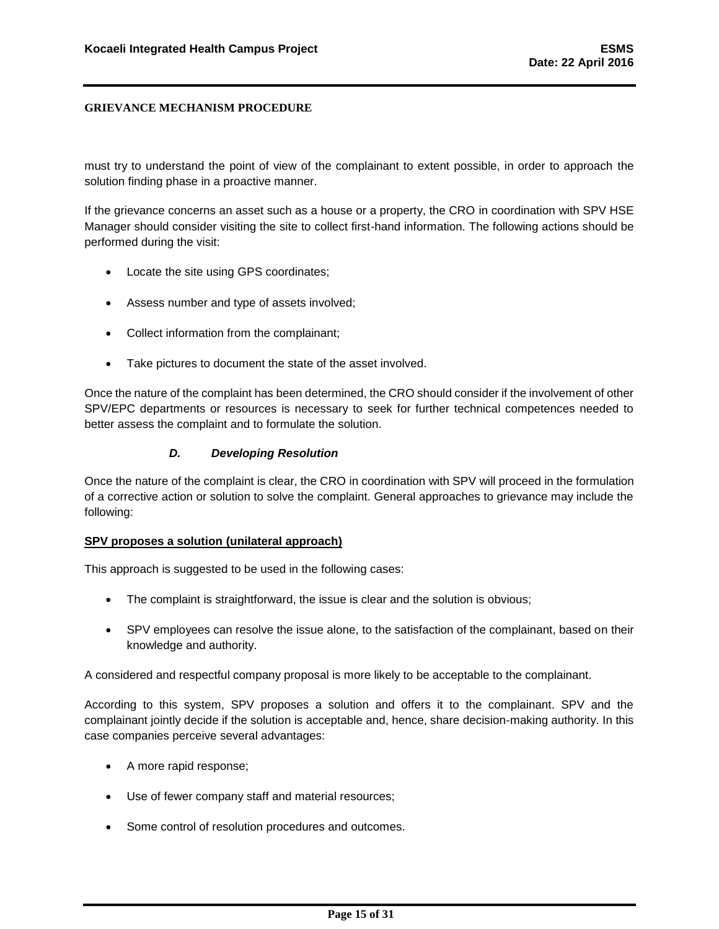must try to understand the point of view of the complainant to extent possible, in order to approach the solution finding phase in a proactive manner.

If the grievance concerns an asset such as a house or a property, the CRO in coordination with SPV HSE Manager should consider visiting the site to collect first-hand information. The following actions should be performed during the visit:

- Locate the site using GPS coordinates;
- Assess number and type of assets involved;
- Collect information from the complainant;
- Take pictures to document the state of the asset involved.

Once the nature of the complaint has been determined, the CRO should consider if the involvement of other SPV/EPC departments or resources is necessary to seek for further technical competences needed to better assess the complaint and to formulate the solution.

#### *D. Developing Resolution*

<span id="page-15-0"></span>Once the nature of the complaint is clear, the CRO in coordination with SPV will proceed in the formulation of a corrective action or solution to solve the complaint. General approaches to grievance may include the following:

#### **SPV proposes a solution (unilateral approach)**

This approach is suggested to be used in the following cases:

- The complaint is straightforward, the issue is clear and the solution is obvious;
- SPV employees can resolve the issue alone, to the satisfaction of the complainant, based on their knowledge and authority.

A considered and respectful company proposal is more likely to be acceptable to the complainant.

According to this system, SPV proposes a solution and offers it to the complainant. SPV and the complainant jointly decide if the solution is acceptable and, hence, share decision-making authority. In this case companies perceive several advantages:

- A more rapid response;
- Use of fewer company staff and material resources;
- Some control of resolution procedures and outcomes.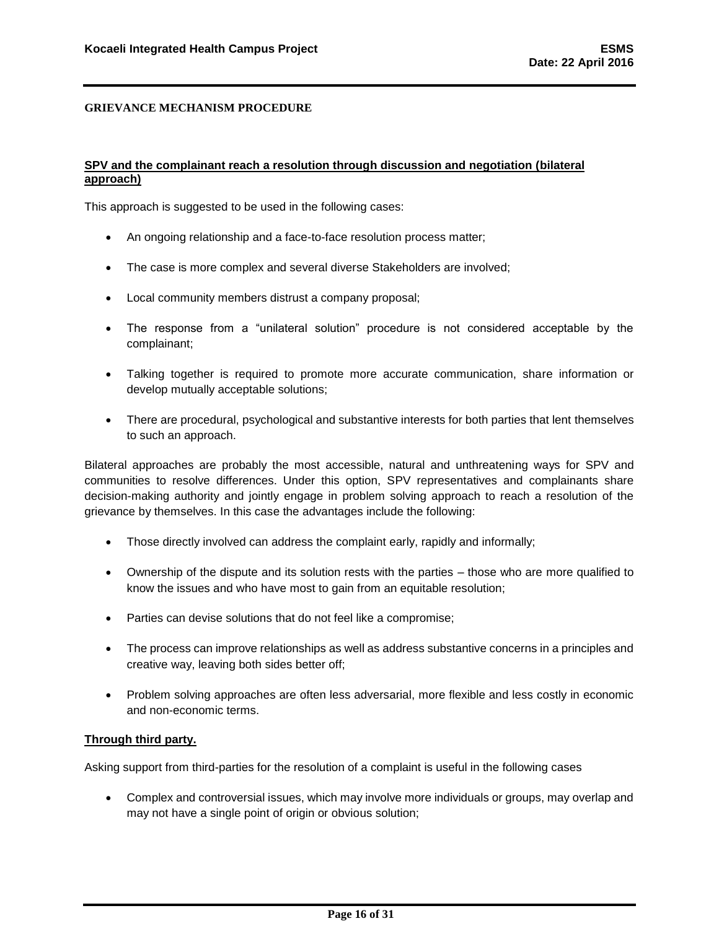#### **SPV and the complainant reach a resolution through discussion and negotiation (bilateral approach)**

This approach is suggested to be used in the following cases:

- An ongoing relationship and a face-to-face resolution process matter;
- The case is more complex and several diverse Stakeholders are involved;
- Local community members distrust a company proposal;
- The response from a "unilateral solution" procedure is not considered acceptable by the complainant;
- Talking together is required to promote more accurate communication, share information or develop mutually acceptable solutions;
- There are procedural, psychological and substantive interests for both parties that lent themselves to such an approach.

Bilateral approaches are probably the most accessible, natural and unthreatening ways for SPV and communities to resolve differences. Under this option, SPV representatives and complainants share decision-making authority and jointly engage in problem solving approach to reach a resolution of the grievance by themselves. In this case the advantages include the following:

- Those directly involved can address the complaint early, rapidly and informally;
- Ownership of the dispute and its solution rests with the parties those who are more qualified to know the issues and who have most to gain from an equitable resolution;
- Parties can devise solutions that do not feel like a compromise;
- The process can improve relationships as well as address substantive concerns in a principles and creative way, leaving both sides better off;
- Problem solving approaches are often less adversarial, more flexible and less costly in economic and non-economic terms.

#### **Through third party.**

Asking support from third-parties for the resolution of a complaint is useful in the following cases

 Complex and controversial issues, which may involve more individuals or groups, may overlap and may not have a single point of origin or obvious solution;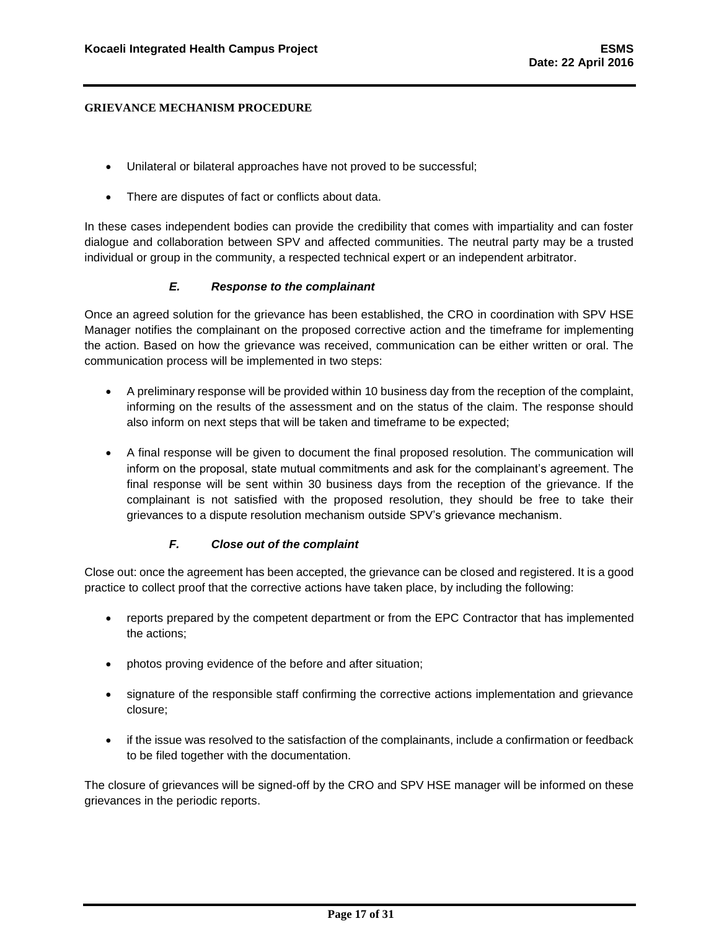- Unilateral or bilateral approaches have not proved to be successful;
- There are disputes of fact or conflicts about data.

In these cases independent bodies can provide the credibility that comes with impartiality and can foster dialogue and collaboration between SPV and affected communities. The neutral party may be a trusted individual or group in the community, a respected technical expert or an independent arbitrator.

## *E. Response to the complainant*

<span id="page-17-0"></span>Once an agreed solution for the grievance has been established, the CRO in coordination with SPV HSE Manager notifies the complainant on the proposed corrective action and the timeframe for implementing the action. Based on how the grievance was received, communication can be either written or oral. The communication process will be implemented in two steps:

- A preliminary response will be provided within 10 business day from the reception of the complaint, informing on the results of the assessment and on the status of the claim. The response should also inform on next steps that will be taken and timeframe to be expected;
- A final response will be given to document the final proposed resolution. The communication will inform on the proposal, state mutual commitments and ask for the complainant's agreement. The final response will be sent within 30 business days from the reception of the grievance. If the complainant is not satisfied with the proposed resolution, they should be free to take their grievances to a dispute resolution mechanism outside SPV's grievance mechanism.

## *F. Close out of the complaint*

<span id="page-17-1"></span>Close out: once the agreement has been accepted, the grievance can be closed and registered. It is a good practice to collect proof that the corrective actions have taken place, by including the following:

- reports prepared by the competent department or from the EPC Contractor that has implemented the actions;
- photos proving evidence of the before and after situation;
- signature of the responsible staff confirming the corrective actions implementation and grievance closure;
- if the issue was resolved to the satisfaction of the complainants, include a confirmation or feedback to be filed together with the documentation.

The closure of grievances will be signed-off by the CRO and SPV HSE manager will be informed on these grievances in the periodic reports.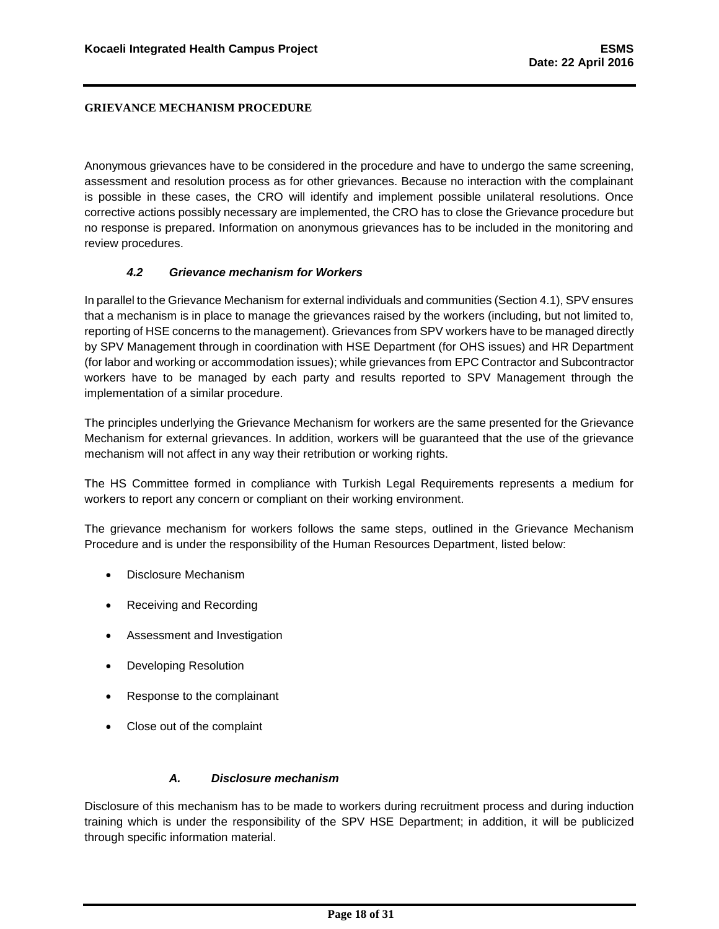Anonymous grievances have to be considered in the procedure and have to undergo the same screening, assessment and resolution process as for other grievances. Because no interaction with the complainant is possible in these cases, the CRO will identify and implement possible unilateral resolutions. Once corrective actions possibly necessary are implemented, the CRO has to close the Grievance procedure but no response is prepared. Information on anonymous grievances has to be included in the monitoring and review procedures.

#### *4.2 Grievance mechanism for Workers*

<span id="page-18-0"></span>In parallel to the Grievance Mechanism for external individuals and communities (Section 4.1), SPV ensures that a mechanism is in place to manage the grievances raised by the workers (including, but not limited to, reporting of HSE concerns to the management). Grievances from SPV workers have to be managed directly by SPV Management through in coordination with HSE Department (for OHS issues) and HR Department (for labor and working or accommodation issues); while grievances from EPC Contractor and Subcontractor workers have to be managed by each party and results reported to SPV Management through the implementation of a similar procedure.

The principles underlying the Grievance Mechanism for workers are the same presented for the Grievance Mechanism for external grievances. In addition, workers will be guaranteed that the use of the grievance mechanism will not affect in any way their retribution or working rights.

The HS Committee formed in compliance with Turkish Legal Requirements represents a medium for workers to report any concern or compliant on their working environment.

The grievance mechanism for workers follows the same steps, outlined in the Grievance Mechanism Procedure and is under the responsibility of the Human Resources Department, listed below:

- Disclosure Mechanism
- Receiving and Recording
- Assessment and Investigation
- Developing Resolution
- Response to the complainant
- Close out of the complaint

#### *A. Disclosure mechanism*

<span id="page-18-1"></span>Disclosure of this mechanism has to be made to workers during recruitment process and during induction training which is under the responsibility of the SPV HSE Department; in addition, it will be publicized through specific information material.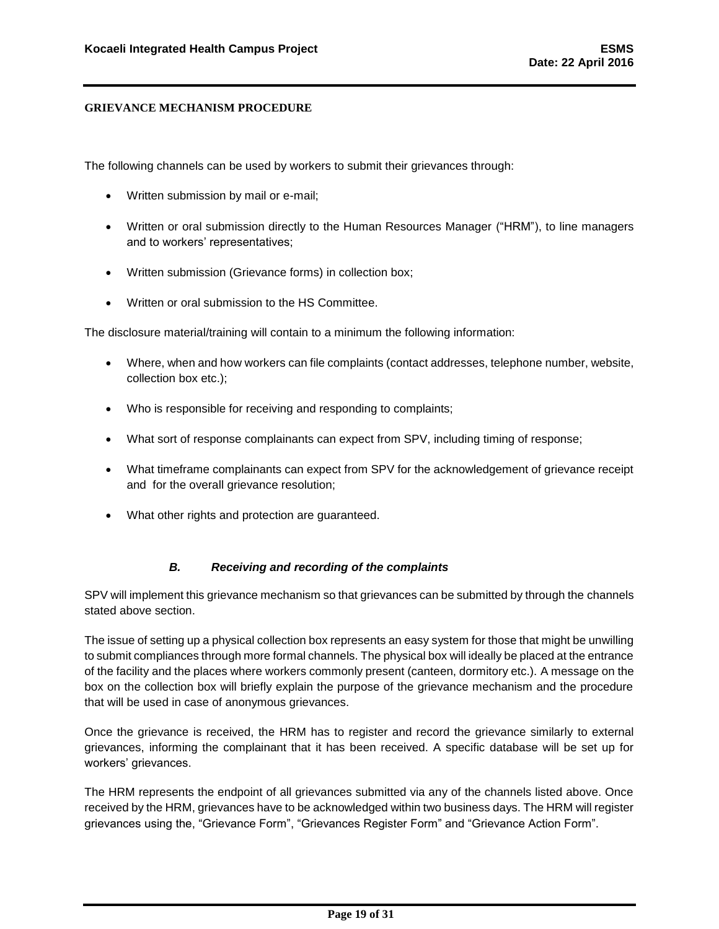The following channels can be used by workers to submit their grievances through:

- Written submission by mail or e-mail;
- Written or oral submission directly to the Human Resources Manager ("HRM"), to line managers and to workers' representatives;
- Written submission (Grievance forms) in collection box;
- Written or oral submission to the HS Committee.

The disclosure material/training will contain to a minimum the following information:

- Where, when and how workers can file complaints (contact addresses, telephone number, website, collection box etc.);
- Who is responsible for receiving and responding to complaints;
- What sort of response complainants can expect from SPV, including timing of response;
- What timeframe complainants can expect from SPV for the acknowledgement of grievance receipt and for the overall grievance resolution;
- What other rights and protection are guaranteed.

#### *B. Receiving and recording of the complaints*

<span id="page-19-0"></span>SPV will implement this grievance mechanism so that grievances can be submitted by through the channels stated above section.

The issue of setting up a physical collection box represents an easy system for those that might be unwilling to submit compliances through more formal channels. The physical box will ideally be placed at the entrance of the facility and the places where workers commonly present (canteen, dormitory etc.). A message on the box on the collection box will briefly explain the purpose of the grievance mechanism and the procedure that will be used in case of anonymous grievances.

Once the grievance is received, the HRM has to register and record the grievance similarly to external grievances, informing the complainant that it has been received. A specific database will be set up for workers' grievances.

The HRM represents the endpoint of all grievances submitted via any of the channels listed above. Once received by the HRM, grievances have to be acknowledged within two business days. The HRM will register grievances using the, "Grievance Form", "Grievances Register Form" and "Grievance Action Form".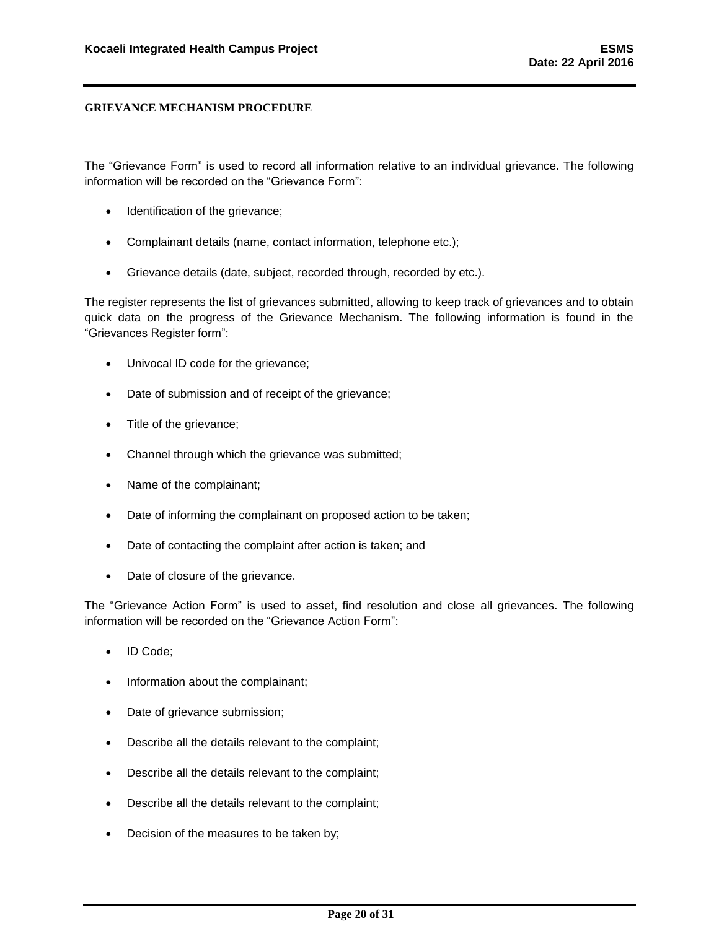The "Grievance Form" is used to record all information relative to an individual grievance. The following information will be recorded on the "Grievance Form":

- Identification of the grievance;
- Complainant details (name, contact information, telephone etc.);
- Grievance details (date, subject, recorded through, recorded by etc.).

The register represents the list of grievances submitted, allowing to keep track of grievances and to obtain quick data on the progress of the Grievance Mechanism. The following information is found in the "Grievances Register form":

- Univocal ID code for the grievance;
- Date of submission and of receipt of the grievance;
- Title of the grievance;
- Channel through which the grievance was submitted;
- Name of the complainant;
- Date of informing the complainant on proposed action to be taken;
- Date of contacting the complaint after action is taken; and
- Date of closure of the grievance.

The "Grievance Action Form" is used to asset, find resolution and close all grievances. The following information will be recorded on the "Grievance Action Form":

- ID Code;
- Information about the complainant;
- Date of grievance submission;
- Describe all the details relevant to the complaint;
- Describe all the details relevant to the complaint;
- Describe all the details relevant to the complaint;
- Decision of the measures to be taken by;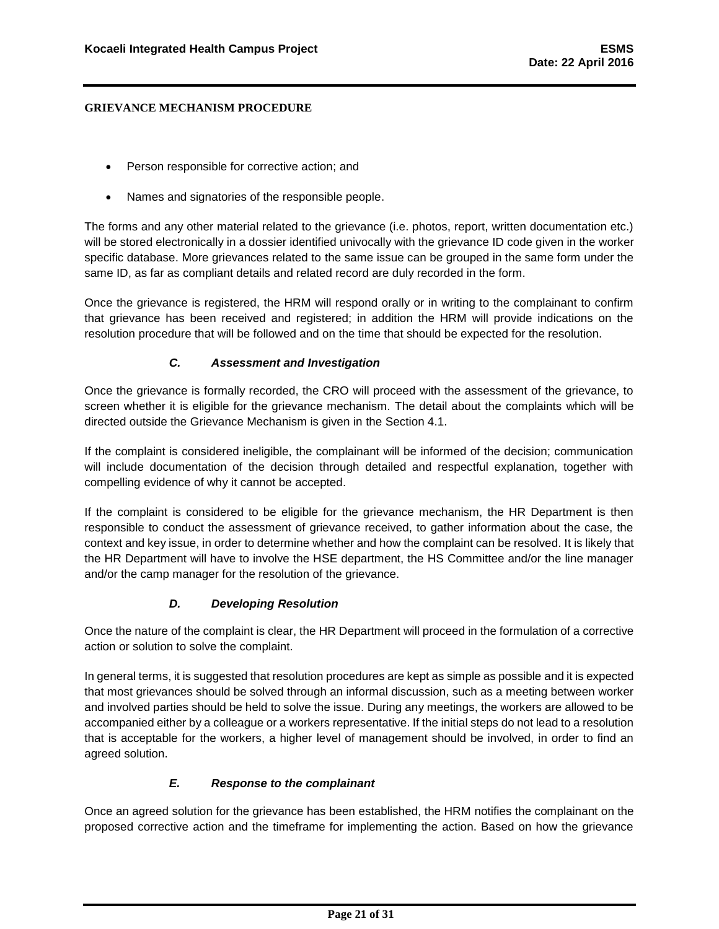- Person responsible for corrective action; and
- Names and signatories of the responsible people.

The forms and any other material related to the grievance (i.e. photos, report, written documentation etc.) will be stored electronically in a dossier identified univocally with the grievance ID code given in the worker specific database. More grievances related to the same issue can be grouped in the same form under the same ID, as far as compliant details and related record are duly recorded in the form.

Once the grievance is registered, the HRM will respond orally or in writing to the complainant to confirm that grievance has been received and registered; in addition the HRM will provide indications on the resolution procedure that will be followed and on the time that should be expected for the resolution.

## *C. Assessment and Investigation*

<span id="page-21-0"></span>Once the grievance is formally recorded, the CRO will proceed with the assessment of the grievance, to screen whether it is eligible for the grievance mechanism. The detail about the complaints which will be directed outside the Grievance Mechanism is given in the Section 4.1.

If the complaint is considered ineligible, the complainant will be informed of the decision; communication will include documentation of the decision through detailed and respectful explanation, together with compelling evidence of why it cannot be accepted.

If the complaint is considered to be eligible for the grievance mechanism, the HR Department is then responsible to conduct the assessment of grievance received, to gather information about the case, the context and key issue, in order to determine whether and how the complaint can be resolved. It is likely that the HR Department will have to involve the HSE department, the HS Committee and/or the line manager and/or the camp manager for the resolution of the grievance.

#### *D. Developing Resolution*

<span id="page-21-1"></span>Once the nature of the complaint is clear, the HR Department will proceed in the formulation of a corrective action or solution to solve the complaint.

In general terms, it is suggested that resolution procedures are kept as simple as possible and it is expected that most grievances should be solved through an informal discussion, such as a meeting between worker and involved parties should be held to solve the issue. During any meetings, the workers are allowed to be accompanied either by a colleague or a workers representative. If the initial steps do not lead to a resolution that is acceptable for the workers, a higher level of management should be involved, in order to find an agreed solution.

## *E. Response to the complainant*

<span id="page-21-2"></span>Once an agreed solution for the grievance has been established, the HRM notifies the complainant on the proposed corrective action and the timeframe for implementing the action. Based on how the grievance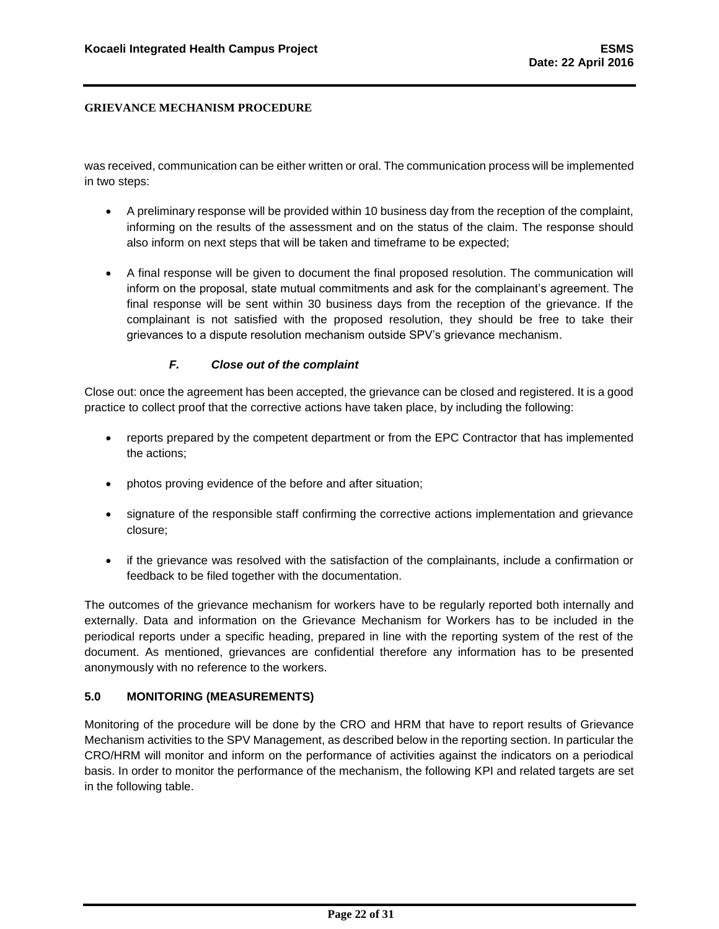was received, communication can be either written or oral. The communication process will be implemented in two steps:

- A preliminary response will be provided within 10 business day from the reception of the complaint, informing on the results of the assessment and on the status of the claim. The response should also inform on next steps that will be taken and timeframe to be expected;
- A final response will be given to document the final proposed resolution. The communication will inform on the proposal, state mutual commitments and ask for the complainant's agreement. The final response will be sent within 30 business days from the reception of the grievance. If the complainant is not satisfied with the proposed resolution, they should be free to take their grievances to a dispute resolution mechanism outside SPV's grievance mechanism.

## *F. Close out of the complaint*

<span id="page-22-0"></span>Close out: once the agreement has been accepted, the grievance can be closed and registered. It is a good practice to collect proof that the corrective actions have taken place, by including the following:

- reports prepared by the competent department or from the EPC Contractor that has implemented the actions;
- photos proving evidence of the before and after situation;
- signature of the responsible staff confirming the corrective actions implementation and grievance closure;
- if the grievance was resolved with the satisfaction of the complainants, include a confirmation or feedback to be filed together with the documentation.

The outcomes of the grievance mechanism for workers have to be regularly reported both internally and externally. Data and information on the Grievance Mechanism for Workers has to be included in the periodical reports under a specific heading, prepared in line with the reporting system of the rest of the document. As mentioned, grievances are confidential therefore any information has to be presented anonymously with no reference to the workers.

### <span id="page-22-1"></span>**5.0 MONITORING (MEASUREMENTS)**

Monitoring of the procedure will be done by the CRO and HRM that have to report results of Grievance Mechanism activities to the SPV Management, as described below in the reporting section. In particular the CRO/HRM will monitor and inform on the performance of activities against the indicators on a periodical basis. In order to monitor the performance of the mechanism, the following KPI and related targets are set in the following table.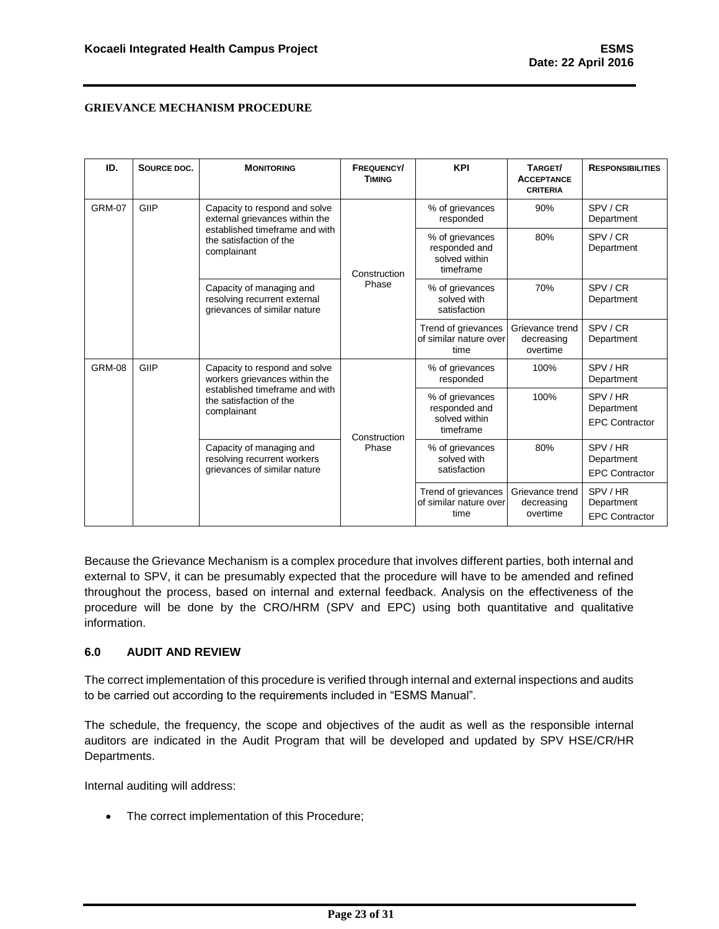| ID.           | SOURCE DOC. | <b>MONITORING</b>                                                                        | <b>FREQUENCY/</b><br><b>TIMING</b> | <b>KPI</b>                                                     | TARGET/<br><b>ACCEPTANCE</b><br><b>CRITERIA</b> | <b>RESPONSIBILITIES</b>                       |
|---------------|-------------|------------------------------------------------------------------------------------------|------------------------------------|----------------------------------------------------------------|-------------------------------------------------|-----------------------------------------------|
| <b>GRM-07</b> | GIIP        | Capacity to respond and solve<br>external grievances within the                          |                                    | % of grievances<br>responded                                   | 90%                                             | SPV/CR<br>Department                          |
|               |             | established timeframe and with<br>the satisfaction of the<br>complainant                 | Construction<br>Phase              | % of grievances<br>responded and<br>solved within<br>timeframe | 80%                                             | SPV/CR<br>Department                          |
|               |             | Capacity of managing and<br>resolving recurrent external<br>grievances of similar nature |                                    | % of grievances<br>solved with<br>satisfaction                 | 70%                                             | SPV/CR<br>Department                          |
|               |             |                                                                                          |                                    | Trend of grievances<br>of similar nature over<br>time          | Grievance trend<br>decreasing<br>overtime       | SPV/CR<br>Department                          |
| <b>GRM-08</b> | GIIP        | Capacity to respond and solve<br>workers grievances within the                           |                                    | % of grievances<br>responded                                   | 100%                                            | SPV/HR<br>Department                          |
|               |             | established timeframe and with<br>the satisfaction of the<br>complainant                 | Construction                       | % of grievances<br>responded and<br>solved within<br>timeframe | 100%                                            | SPV/HR<br>Department<br><b>EPC Contractor</b> |
|               |             | Capacity of managing and<br>resolving recurrent workers<br>grievances of similar nature  | Phase                              | % of grievances<br>solved with<br>satisfaction                 | 80%                                             | SPV/HR<br>Department<br><b>EPC Contractor</b> |
|               |             |                                                                                          |                                    | Trend of grievances<br>of similar nature over<br>time          | Grievance trend<br>decreasing<br>overtime       | SPV/HR<br>Department<br><b>EPC Contractor</b> |

Because the Grievance Mechanism is a complex procedure that involves different parties, both internal and external to SPV, it can be presumably expected that the procedure will have to be amended and refined throughout the process, based on internal and external feedback. Analysis on the effectiveness of the procedure will be done by the CRO/HRM (SPV and EPC) using both quantitative and qualitative information.

## <span id="page-23-0"></span>**6.0 AUDIT AND REVIEW**

The correct implementation of this procedure is verified through internal and external inspections and audits to be carried out according to the requirements included in "ESMS Manual".

The schedule, the frequency, the scope and objectives of the audit as well as the responsible internal auditors are indicated in the Audit Program that will be developed and updated by SPV HSE/CR/HR Departments.

Internal auditing will address:

• The correct implementation of this Procedure;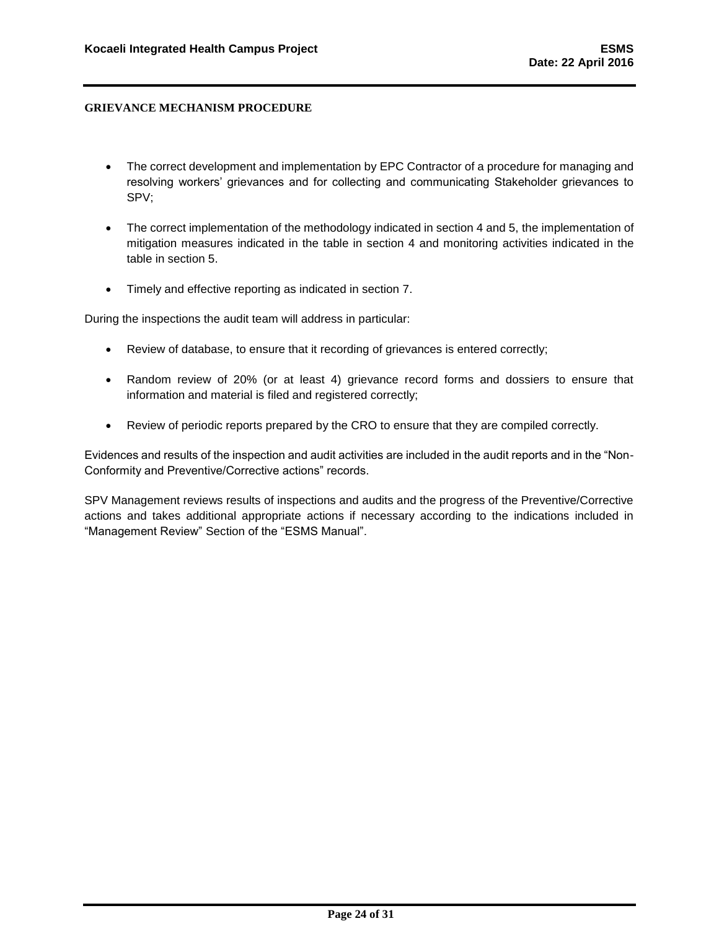- The correct development and implementation by EPC Contractor of a procedure for managing and resolving workers' grievances and for collecting and communicating Stakeholder grievances to SPV;
- The correct implementation of the methodology indicated in section 4 and 5, the implementation of mitigation measures indicated in the table in section 4 and monitoring activities indicated in the table in section 5.
- Timely and effective reporting as indicated in section 7.

During the inspections the audit team will address in particular:

- Review of database, to ensure that it recording of grievances is entered correctly;
- Random review of 20% (or at least 4) grievance record forms and dossiers to ensure that information and material is filed and registered correctly;
- Review of periodic reports prepared by the CRO to ensure that they are compiled correctly.

Evidences and results of the inspection and audit activities are included in the audit reports and in the "Non-Conformity and Preventive/Corrective actions" records.

SPV Management reviews results of inspections and audits and the progress of the Preventive/Corrective actions and takes additional appropriate actions if necessary according to the indications included in "Management Review" Section of the "ESMS Manual".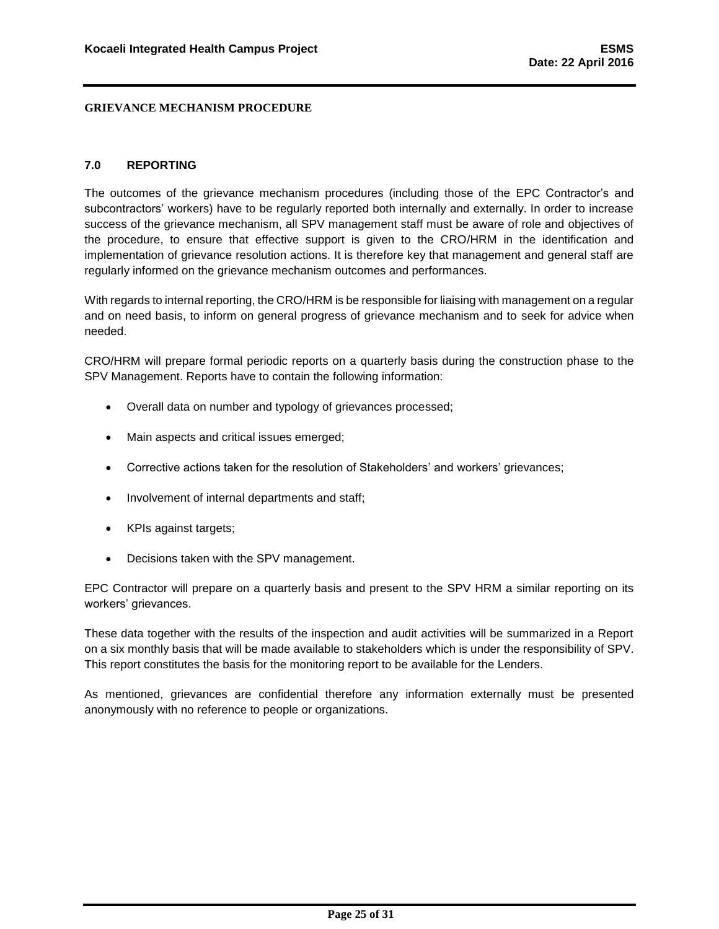## <span id="page-25-0"></span>**7.0 REPORTING**

The outcomes of the grievance mechanism procedures (including those of the EPC Contractor's and subcontractors' workers) have to be regularly reported both internally and externally. In order to increase success of the grievance mechanism, all SPV management staff must be aware of role and objectives of the procedure, to ensure that effective support is given to the CRO/HRM in the identification and implementation of grievance resolution actions. It is therefore key that management and general staff are regularly informed on the grievance mechanism outcomes and performances.

With regards to internal reporting, the CRO/HRM is be responsible for liaising with management on a regular and on need basis, to inform on general progress of grievance mechanism and to seek for advice when needed.

CRO/HRM will prepare formal periodic reports on a quarterly basis during the construction phase to the SPV Management. Reports have to contain the following information:

- Overall data on number and typology of grievances processed;
- Main aspects and critical issues emerged;
- Corrective actions taken for the resolution of Stakeholders' and workers' grievances;
- Involvement of internal departments and staff;
- KPIs against targets;
- Decisions taken with the SPV management.

EPC Contractor will prepare on a quarterly basis and present to the SPV HRM a similar reporting on its workers' grievances.

These data together with the results of the inspection and audit activities will be summarized in a Report on a six monthly basis that will be made available to stakeholders which is under the responsibility of SPV. This report constitutes the basis for the monitoring report to be available for the Lenders.

As mentioned, grievances are confidential therefore any information externally must be presented anonymously with no reference to people or organizations.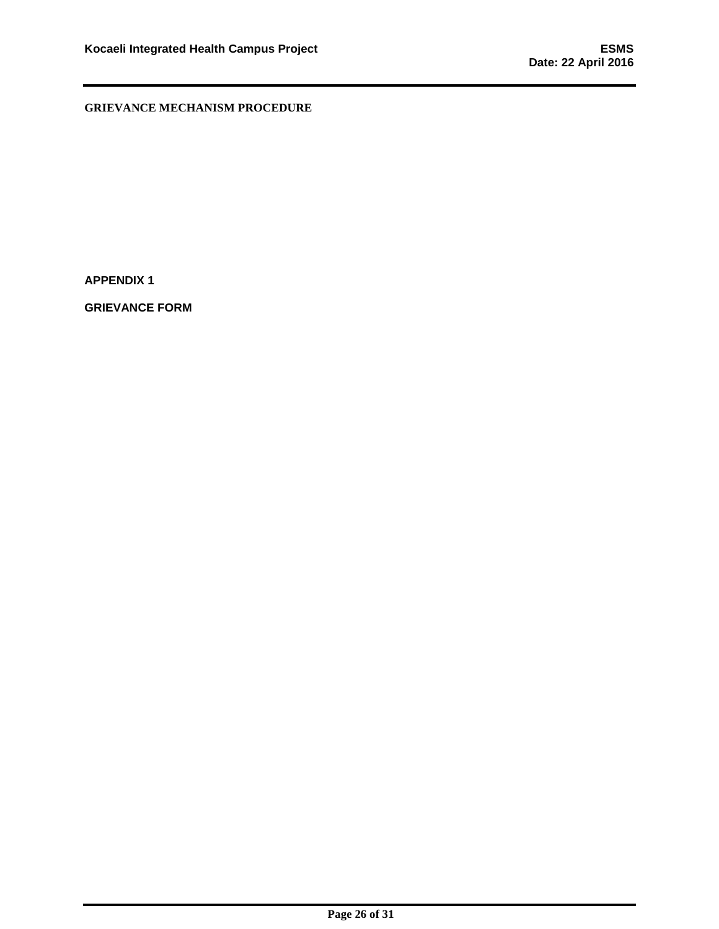**APPENDIX 1**

**GRIEVANCE FORM**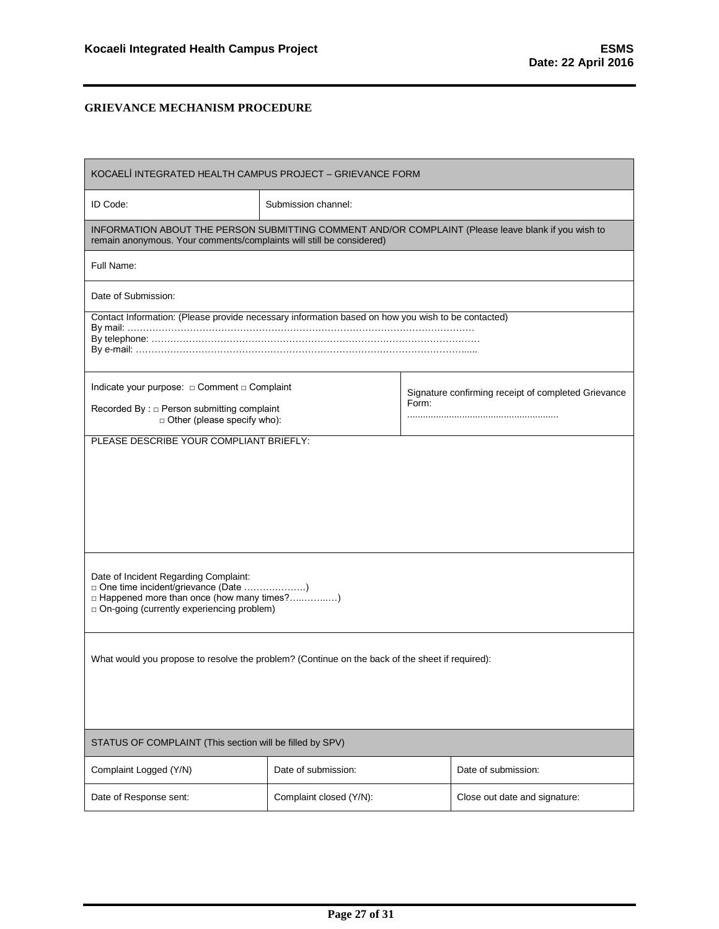| KOCAELİ INTEGRATED HEALTH CAMPUS PROJECT - GRIEVANCE FORM                                                                                                                    |                                                                                                                                                                              |  |                     |  |  |  |  |
|------------------------------------------------------------------------------------------------------------------------------------------------------------------------------|------------------------------------------------------------------------------------------------------------------------------------------------------------------------------|--|---------------------|--|--|--|--|
| ID Code:                                                                                                                                                                     | Submission channel:                                                                                                                                                          |  |                     |  |  |  |  |
| INFORMATION ABOUT THE PERSON SUBMITTING COMMENT AND/OR COMPLAINT (Please leave blank if you wish to<br>remain anonymous. Your comments/complaints will still be considered)  |                                                                                                                                                                              |  |                     |  |  |  |  |
| Full Name:                                                                                                                                                                   |                                                                                                                                                                              |  |                     |  |  |  |  |
| Date of Submission:                                                                                                                                                          |                                                                                                                                                                              |  |                     |  |  |  |  |
| Contact Information: (Please provide necessary information based on how you wish to be contacted)                                                                            |                                                                                                                                                                              |  |                     |  |  |  |  |
| o Other (please specify who):                                                                                                                                                | Indicate your purpose: $\Box$ Comment $\Box$ Complaint<br>Signature confirming receipt of completed Grievance<br>Form:<br>Recorded By: $\square$ Person submitting complaint |  |                     |  |  |  |  |
|                                                                                                                                                                              | PLEASE DESCRIBE YOUR COMPLIANT BRIEFLY:                                                                                                                                      |  |                     |  |  |  |  |
| Date of Incident Regarding Complaint:<br>□ One time incident/grievance (Date )<br>□ Happened more than once (how many times?)<br>□ On-going (currently experiencing problem) |                                                                                                                                                                              |  |                     |  |  |  |  |
| What would you propose to resolve the problem? (Continue on the back of the sheet if required):                                                                              |                                                                                                                                                                              |  |                     |  |  |  |  |
| STATUS OF COMPLAINT (This section will be filled by SPV)                                                                                                                     |                                                                                                                                                                              |  |                     |  |  |  |  |
| Complaint Logged (Y/N)                                                                                                                                                       | Date of submission:                                                                                                                                                          |  | Date of submission: |  |  |  |  |
| Date of Response sent:                                                                                                                                                       | Complaint closed (Y/N):<br>Close out date and signature:                                                                                                                     |  |                     |  |  |  |  |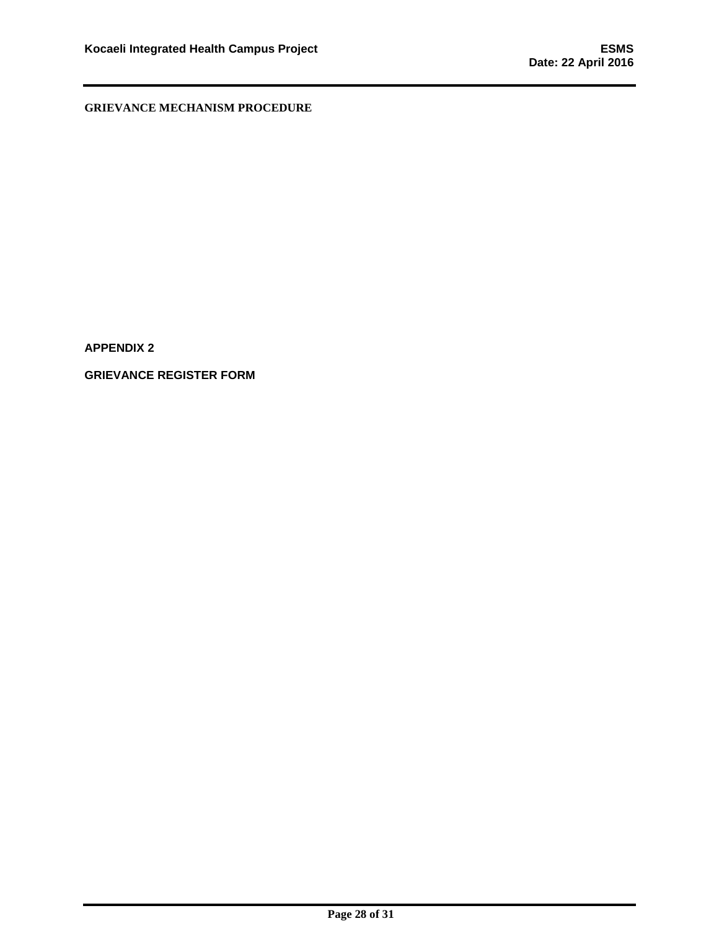**APPENDIX 2**

**GRIEVANCE REGISTER FORM**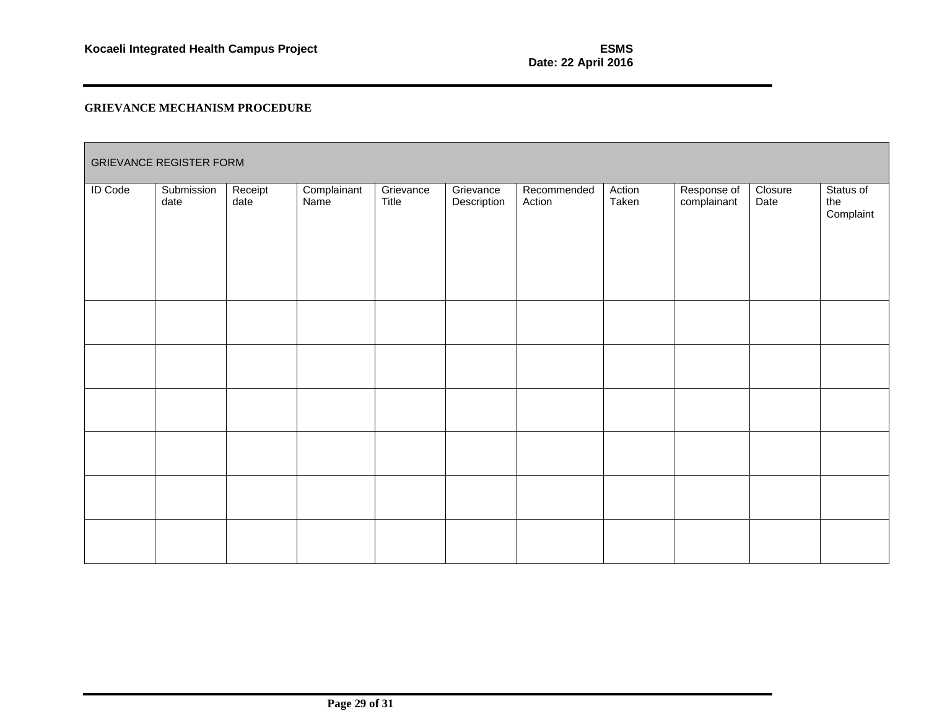| <b>GRIEVANCE REGISTER FORM</b> |                    |                 |                     |                    |                          |                       |                 |                            |                 |                               |
|--------------------------------|--------------------|-----------------|---------------------|--------------------|--------------------------|-----------------------|-----------------|----------------------------|-----------------|-------------------------------|
| <b>ID Code</b>                 | Submission<br>date | Receipt<br>date | Complainant<br>Name | Grievance<br>Title | Grievance<br>Description | Recommended<br>Action | Action<br>Taken | Response of<br>complainant | Closure<br>Date | Status of<br>the<br>Complaint |
|                                |                    |                 |                     |                    |                          |                       |                 |                            |                 |                               |
|                                |                    |                 |                     |                    |                          |                       |                 |                            |                 |                               |
|                                |                    |                 |                     |                    |                          |                       |                 |                            |                 |                               |
|                                |                    |                 |                     |                    |                          |                       |                 |                            |                 |                               |
|                                |                    |                 |                     |                    |                          |                       |                 |                            |                 |                               |
|                                |                    |                 |                     |                    |                          |                       |                 |                            |                 |                               |
|                                |                    |                 |                     |                    |                          |                       |                 |                            |                 |                               |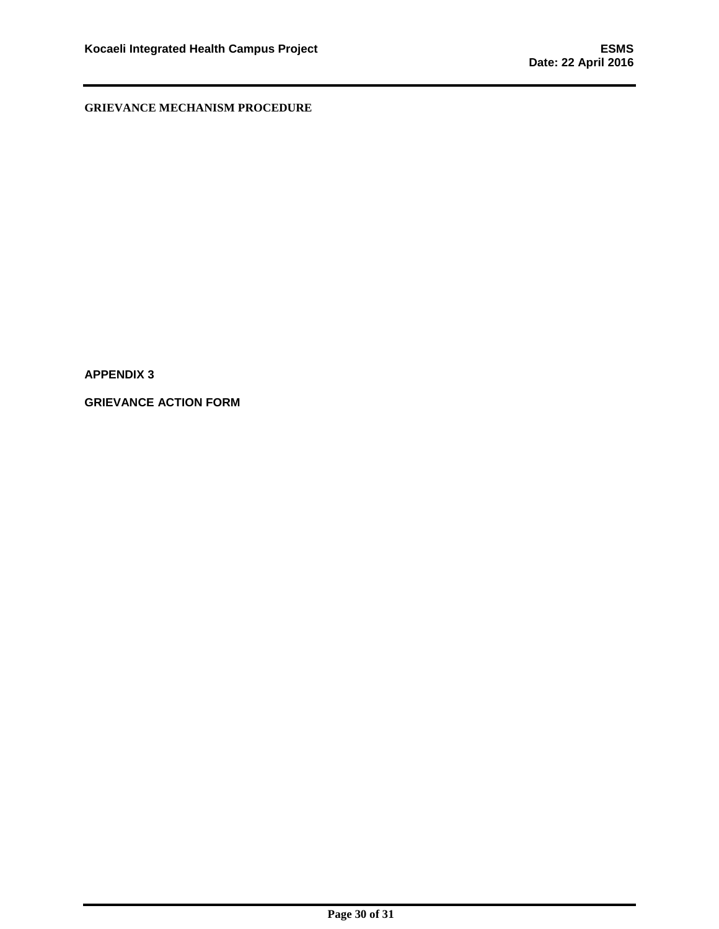**APPENDIX 3**

**GRIEVANCE ACTION FORM**